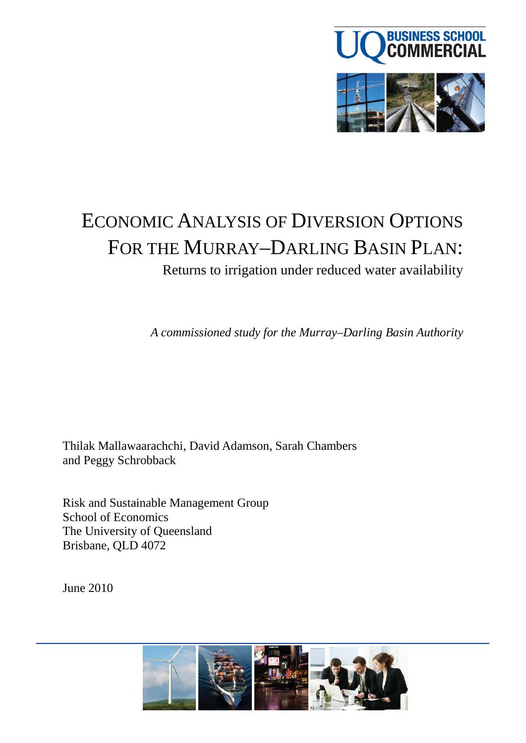

# ECONOMIC ANALYSIS OF DIVERSION OPTIONS FOR THE MURRAY–DARLING BASIN PLAN:

Returns to irrigation under reduced water availability

*A commissioned study for the Murray–Darling Basin Authority*

Thilak Mallawaarachchi, David Adamson, Sarah Chambers and Peggy Schrobback

Risk and Sustainable Management Group School of Economics The University of Queensland Brisbane, QLD 4072

June 2010

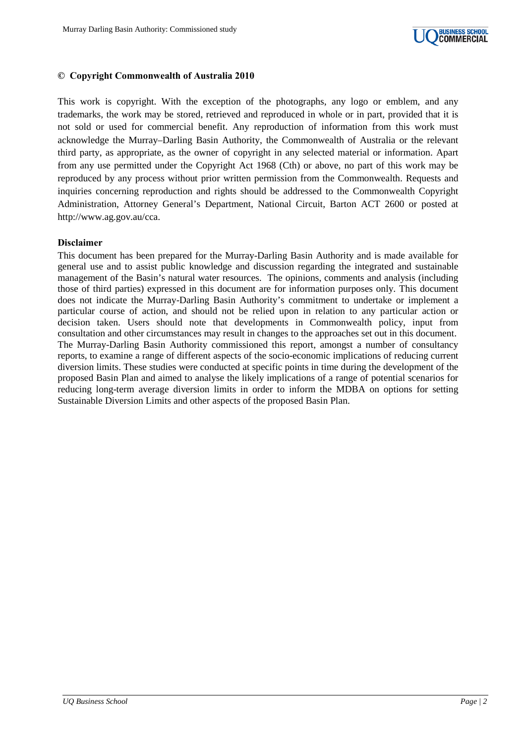

#### **© Copyright Commonwealth of Australia 2010**

This work is copyright. With the exception of the photographs, any logo or emblem, and any trademarks, the work may be stored, retrieved and reproduced in whole or in part, provided that it is not sold or used for commercial benefit. Any reproduction of information from this work must acknowledge the Murray–Darling Basin Authority, the Commonwealth of Australia or the relevant third party, as appropriate, as the owner of copyright in any selected material or information. Apart from any use permitted under the Copyright Act 1968 (Cth) or above, no part of this work may be reproduced by any process without prior written permission from the Commonwealth. Requests and inquiries concerning reproduction and rights should be addressed to the Commonwealth Copyright Administration, Attorney General's Department, National Circuit, Barton ACT 2600 or posted at http://www.ag.gov.au/cca.

#### **Disclaimer**

This document has been prepared for the Murray-Darling Basin Authority and is made available for general use and to assist public knowledge and discussion regarding the integrated and sustainable management of the Basin's natural water resources. The opinions, comments and analysis (including those of third parties) expressed in this document are for information purposes only. This document does not indicate the Murray-Darling Basin Authority's commitment to undertake or implement a particular course of action, and should not be relied upon in relation to any particular action or decision taken. Users should note that developments in Commonwealth policy, input from consultation and other circumstances may result in changes to the approaches set out in this document. The Murray-Darling Basin Authority commissioned this report, amongst a number of consultancy reports, to examine a range of different aspects of the socio-economic implications of reducing current diversion limits. These studies were conducted at specific points in time during the development of the proposed Basin Plan and aimed to analyse the likely implications of a range of potential scenarios for reducing long-term average diversion limits in order to inform the MDBA on options for setting Sustainable Diversion Limits and other aspects of the proposed Basin Plan.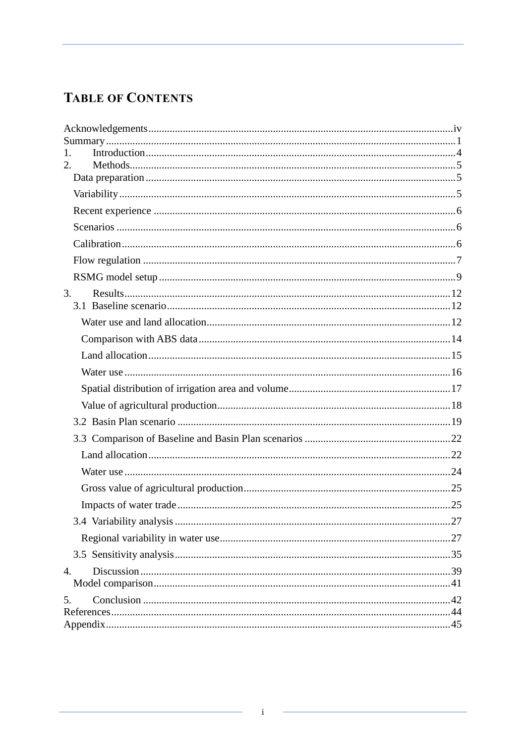# **TABLE OF CONTENTS**

| 1.               |  |
|------------------|--|
| 2.               |  |
|                  |  |
|                  |  |
|                  |  |
|                  |  |
|                  |  |
|                  |  |
|                  |  |
| 3.               |  |
|                  |  |
|                  |  |
|                  |  |
|                  |  |
|                  |  |
|                  |  |
|                  |  |
|                  |  |
|                  |  |
|                  |  |
|                  |  |
|                  |  |
|                  |  |
|                  |  |
|                  |  |
|                  |  |
| $\overline{4}$ . |  |
|                  |  |
| 5.               |  |
|                  |  |
|                  |  |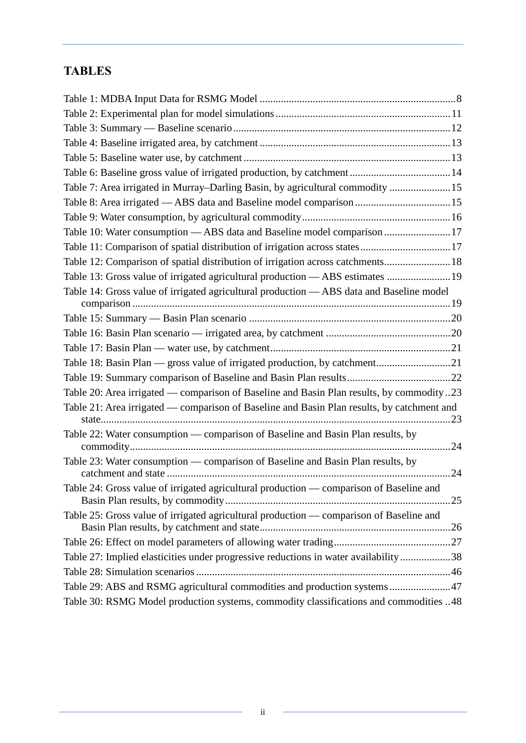# **TABLES**

| Table 6: Baseline gross value of irrigated production, by catchment14                      |  |
|--------------------------------------------------------------------------------------------|--|
| Table 7: Area irrigated in Murray-Darling Basin, by agricultural commodity 15              |  |
| Table 8: Area irrigated — ABS data and Baseline model comparison  15                       |  |
|                                                                                            |  |
| Table 10: Water consumption - ABS data and Baseline model comparison 17                    |  |
| Table 11: Comparison of spatial distribution of irrigation across states17                 |  |
| Table 12: Comparison of spatial distribution of irrigation across catchments 18            |  |
| Table 13: Gross value of irrigated agricultural production — ABS estimates  19             |  |
| Table 14: Gross value of irrigated agricultural production - ABS data and Baseline model   |  |
|                                                                                            |  |
|                                                                                            |  |
|                                                                                            |  |
|                                                                                            |  |
| Table 18: Basin Plan — gross value of irrigated production, by catchment21                 |  |
|                                                                                            |  |
| Table 20: Area irrigated — comparison of Baseline and Basin Plan results, by commodity23   |  |
| Table 21: Area irrigated — comparison of Baseline and Basin Plan results, by catchment and |  |
| Table 22: Water consumption — comparison of Baseline and Basin Plan results, by            |  |
| Table 23: Water consumption — comparison of Baseline and Basin Plan results, by            |  |
| Table 24: Gross value of irrigated agricultural production — comparison of Baseline and    |  |
| Table 25: Gross value of irrigated agricultural production — comparison of Baseline and    |  |
|                                                                                            |  |
| Table 27: Implied elasticities under progressive reductions in water availability38        |  |
|                                                                                            |  |
| Table 29: ABS and RSMG agricultural commodities and production systems47                   |  |
| Table 30: RSMG Model production systems, commodity classifications and commodities 48      |  |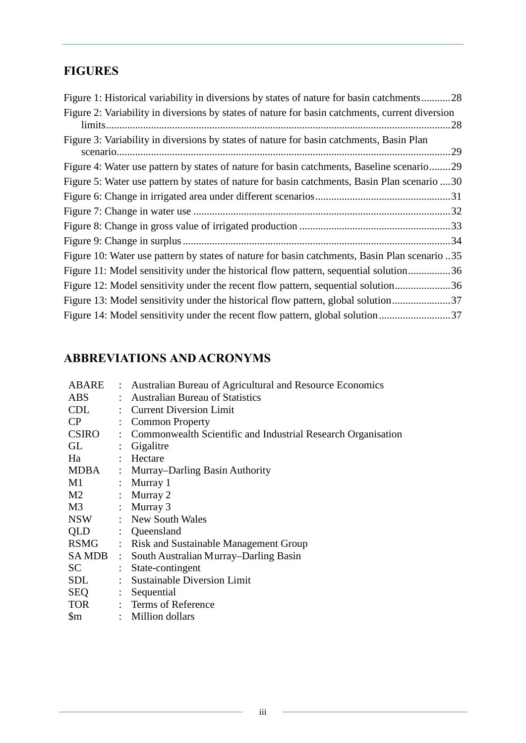# **FIGURES**

# **ABBREVIATIONS AND ACRONYMS**

| ABARE                  |                      | : Australian Bureau of Agricultural and Resource Economics     |
|------------------------|----------------------|----------------------------------------------------------------|
| <b>ABS</b>             |                      | : Australian Bureau of Statistics                              |
| CDL                    |                      | : Current Diversion Limit                                      |
| CP                     | ÷                    | <b>Common Property</b>                                         |
| CSIRO                  |                      | : Commonwealth Scientific and Industrial Research Organisation |
| GL                     | $\ddot{\phantom{a}}$ | Gigalitre                                                      |
| Ha                     |                      | : Hectare                                                      |
| <b>MDBA</b>            |                      | : Murray–Darling Basin Authority                               |
| M1                     |                      | : Murray $1$                                                   |
| M2                     |                      | : Murray 2                                                     |
| M3                     |                      | : Murray $3$                                                   |
| <b>NSW</b>             |                      | : New South Wales                                              |
| QLD                    |                      | : Queensland                                                   |
| <b>RSMG</b>            |                      | : Risk and Sustainable Management Group                        |
|                        |                      | SAMDB : South Australian Murray-Darling Basin                  |
| SC                     |                      | : State-contingent                                             |
| SDL                    |                      | : Sustainable Diversion Limit                                  |
| SEQ                    |                      | : Sequential                                                   |
|                        |                      | TOR : Terms of Reference                                       |
| $\mathop{\mathrm{Sm}}$ |                      | : Million dollars                                              |
|                        |                      |                                                                |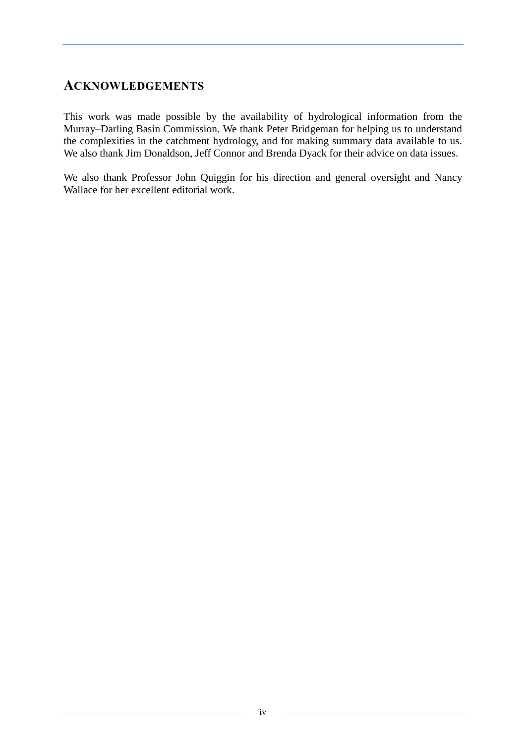# <span id="page-5-0"></span>**ACKNOWLEDGEMENTS**

This work was made possible by the availability of hydrological information from the Murray–Darling Basin Commission. We thank Peter Bridgeman for helping us to understand the complexities in the catchment hydrology, and for making summary data available to us. We also thank Jim Donaldson, Jeff Connor and Brenda Dyack for their advice on data issues.

We also thank Professor John Quiggin for his direction and general oversight and Nancy Wallace for her excellent editorial work.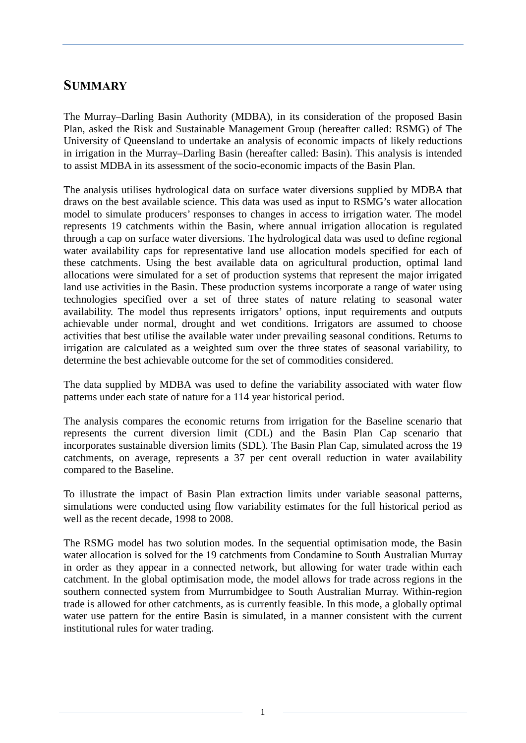# <span id="page-6-0"></span>**SUMMARY**

The Murray–Darling Basin Authority (MDBA), in its consideration of the proposed Basin Plan, asked the Risk and Sustainable Management Group (hereafter called: RSMG) of The University of Queensland to undertake an analysis of economic impacts of likely reductions in irrigation in the Murray–Darling Basin (hereafter called: Basin). This analysis is intended to assist MDBA in its assessment of the socio-economic impacts of the Basin Plan.

The analysis utilises hydrological data on surface water diversions supplied by MDBA that draws on the best available science. This data was used as input to RSMG's water allocation model to simulate producers' responses to changes in access to irrigation water. The model represents 19 catchments within the Basin, where annual irrigation allocation is regulated through a cap on surface water diversions. The hydrological data was used to define regional water availability caps for representative land use allocation models specified for each of these catchments. Using the best available data on agricultural production, optimal land allocations were simulated for a set of production systems that represent the major irrigated land use activities in the Basin. These production systems incorporate a range of water using technologies specified over a set of three states of nature relating to seasonal water availability. The model thus represents irrigators' options, input requirements and outputs achievable under normal, drought and wet conditions. Irrigators are assumed to choose activities that best utilise the available water under prevailing seasonal conditions. Returns to irrigation are calculated as a weighted sum over the three states of seasonal variability, to determine the best achievable outcome for the set of commodities considered.

The data supplied by MDBA was used to define the variability associated with water flow patterns under each state of nature for a 114 year historical period.

The analysis compares the economic returns from irrigation for the Baseline scenario that represents the current diversion limit (CDL) and the Basin Plan Cap scenario that incorporates sustainable diversion limits (SDL). The Basin Plan Cap, simulated across the 19 catchments, on average, represents a 37 per cent overall reduction in water availability compared to the Baseline.

To illustrate the impact of Basin Plan extraction limits under variable seasonal patterns, simulations were conducted using flow variability estimates for the full historical period as well as the recent decade, 1998 to 2008.

The RSMG model has two solution modes. In the sequential optimisation mode, the Basin water allocation is solved for the 19 catchments from Condamine to South Australian Murray in order as they appear in a connected network, but allowing for water trade within each catchment. In the global optimisation mode, the model allows for trade across regions in the southern connected system from Murrumbidgee to South Australian Murray. Within-region trade is allowed for other catchments, as is currently feasible. In this mode, a globally optimal water use pattern for the entire Basin is simulated, in a manner consistent with the current institutional rules for water trading.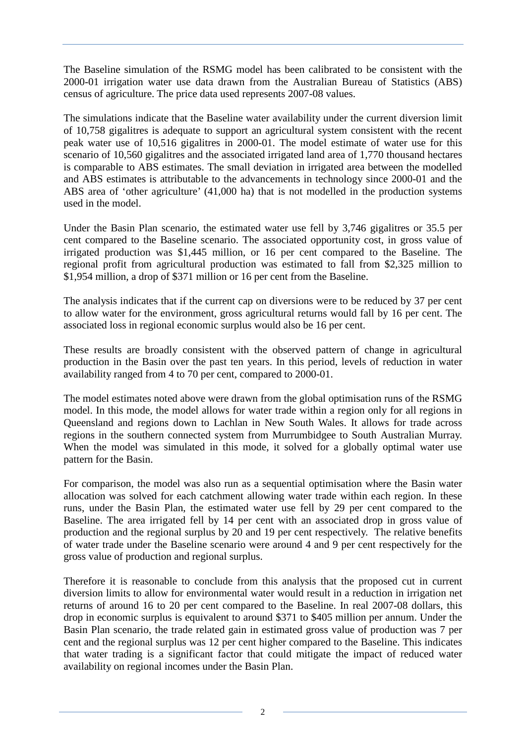The Baseline simulation of the RSMG model has been calibrated to be consistent with the 2000-01 irrigation water use data drawn from the Australian Bureau of Statistics (ABS) census of agriculture. The price data used represents 2007-08 values.

The simulations indicate that the Baseline water availability under the current diversion limit of 10,758 gigalitres is adequate to support an agricultural system consistent with the recent peak water use of 10,516 gigalitres in 2000-01. The model estimate of water use for this scenario of 10,560 gigalitres and the associated irrigated land area of 1,770 thousand hectares is comparable to ABS estimates. The small deviation in irrigated area between the modelled and ABS estimates is attributable to the advancements in technology since 2000-01 and the ABS area of 'other agriculture' (41,000 ha) that is not modelled in the production systems used in the model.

Under the Basin Plan scenario, the estimated water use fell by 3,746 gigalitres or 35.5 per cent compared to the Baseline scenario. The associated opportunity cost, in gross value of irrigated production was \$1,445 million, or 16 per cent compared to the Baseline. The regional profit from agricultural production was estimated to fall from \$2,325 million to \$1,954 million, a drop of \$371 million or 16 per cent from the Baseline.

The analysis indicates that if the current cap on diversions were to be reduced by 37 per cent to allow water for the environment, gross agricultural returns would fall by 16 per cent. The associated loss in regional economic surplus would also be 16 per cent.

These results are broadly consistent with the observed pattern of change in agricultural production in the Basin over the past ten years. In this period, levels of reduction in water availability ranged from 4 to 70 per cent, compared to 2000-01.

The model estimates noted above were drawn from the global optimisation runs of the RSMG model. In this mode, the model allows for water trade within a region only for all regions in Queensland and regions down to Lachlan in New South Wales. It allows for trade across regions in the southern connected system from Murrumbidgee to South Australian Murray. When the model was simulated in this mode, it solved for a globally optimal water use pattern for the Basin.

For comparison, the model was also run as a sequential optimisation where the Basin water allocation was solved for each catchment allowing water trade within each region. In these runs, under the Basin Plan, the estimated water use fell by 29 per cent compared to the Baseline. The area irrigated fell by 14 per cent with an associated drop in gross value of production and the regional surplus by 20 and 19 per cent respectively. The relative benefits of water trade under the Baseline scenario were around 4 and 9 per cent respectively for the gross value of production and regional surplus.

Therefore it is reasonable to conclude from this analysis that the proposed cut in current diversion limits to allow for environmental water would result in a reduction in irrigation net returns of around 16 to 20 per cent compared to the Baseline. In real 2007-08 dollars, this drop in economic surplus is equivalent to around \$371 to \$405 million per annum. Under the Basin Plan scenario, the trade related gain in estimated gross value of production was 7 per cent and the regional surplus was 12 per cent higher compared to the Baseline. This indicates that water trading is a significant factor that could mitigate the impact of reduced water availability on regional incomes under the Basin Plan.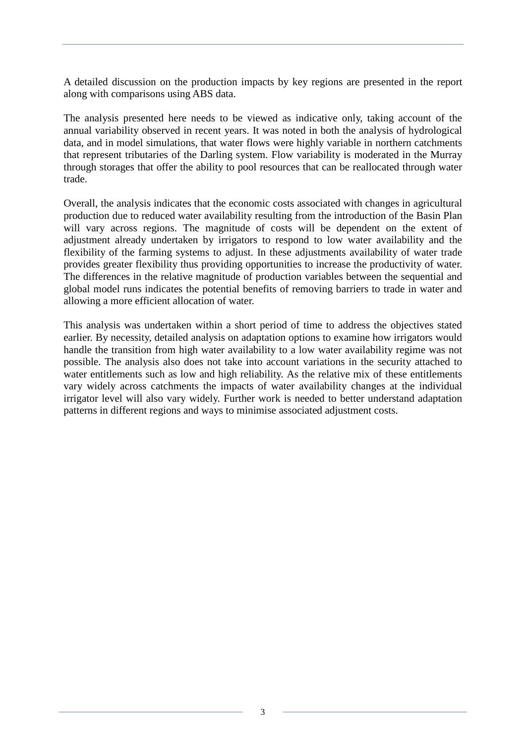A detailed discussion on the production impacts by key regions are presented in the report along with comparisons using ABS data.

The analysis presented here needs to be viewed as indicative only, taking account of the annual variability observed in recent years. It was noted in both the analysis of hydrological data, and in model simulations, that water flows were highly variable in northern catchments that represent tributaries of the Darling system. Flow variability is moderated in the Murray through storages that offer the ability to pool resources that can be reallocated through water trade.

Overall, the analysis indicates that the economic costs associated with changes in agricultural production due to reduced water availability resulting from the introduction of the Basin Plan will vary across regions. The magnitude of costs will be dependent on the extent of adjustment already undertaken by irrigators to respond to low water availability and the flexibility of the farming systems to adjust. In these adjustments availability of water trade provides greater flexibility thus providing opportunities to increase the productivity of water. The differences in the relative magnitude of production variables between the sequential and global model runs indicates the potential benefits of removing barriers to trade in water and allowing a more efficient allocation of water.

This analysis was undertaken within a short period of time to address the objectives stated earlier. By necessity, detailed analysis on adaptation options to examine how irrigators would handle the transition from high water availability to a low water availability regime was not possible. The analysis also does not take into account variations in the security attached to water entitlements such as low and high reliability. As the relative mix of these entitlements vary widely across catchments the impacts of water availability changes at the individual irrigator level will also vary widely. Further work is needed to better understand adaptation patterns in different regions and ways to minimise associated adjustment costs.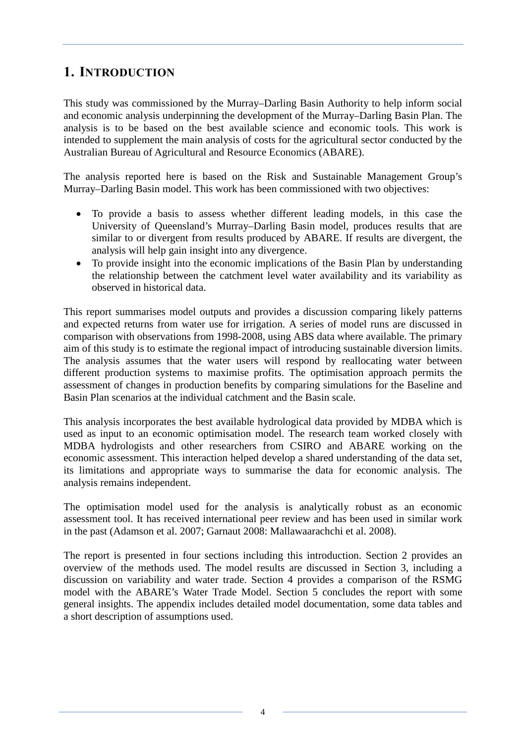# <span id="page-9-0"></span>**1. INTRODUCTION**

This study was commissioned by the Murray–Darling Basin Authority to help inform social and economic analysis underpinning the development of the Murray–Darling Basin Plan. The analysis is to be based on the best available science and economic tools. This work is intended to supplement the main analysis of costs for the agricultural sector conducted by the Australian Bureau of Agricultural and Resource Economics (ABARE).

The analysis reported here is based on the Risk and Sustainable Management Group's Murray–Darling Basin model. This work has been commissioned with two objectives:

- To provide a basis to assess whether different leading models, in this case the University of Queensland's Murray–Darling Basin model, produces results that are similar to or divergent from results produced by ABARE. If results are divergent, the analysis will help gain insight into any divergence.
- To provide insight into the economic implications of the Basin Plan by understanding the relationship between the catchment level water availability and its variability as observed in historical data.

This report summarises model outputs and provides a discussion comparing likely patterns and expected returns from water use for irrigation. A series of model runs are discussed in comparison with observations from 1998-2008, using ABS data where available. The primary aim of this study is to estimate the regional impact of introducing sustainable diversion limits. The analysis assumes that the water users will respond by reallocating water between different production systems to maximise profits. The optimisation approach permits the assessment of changes in production benefits by comparing simulations for the Baseline and Basin Plan scenarios at the individual catchment and the Basin scale.

This analysis incorporates the best available hydrological data provided by MDBA which is used as input to an economic optimisation model. The research team worked closely with MDBA hydrologists and other researchers from CSIRO and ABARE working on the economic assessment. This interaction helped develop a shared understanding of the data set, its limitations and appropriate ways to summarise the data for economic analysis. The analysis remains independent.

The optimisation model used for the analysis is analytically robust as an economic assessment tool. It has received international peer review and has been used in similar work in the past (Adamson et al. 2007; Garnaut 2008: Mallawaarachchi et al. 2008).

The report is presented in four sections including this introduction. Section 2 provides an overview of the methods used. The model results are discussed in Section 3, including a discussion on variability and water trade. Section 4 provides a comparison of the RSMG model with the ABARE's Water Trade Model. Section 5 concludes the report with some general insights. The appendix includes detailed model documentation, some data tables and a short description of assumptions used.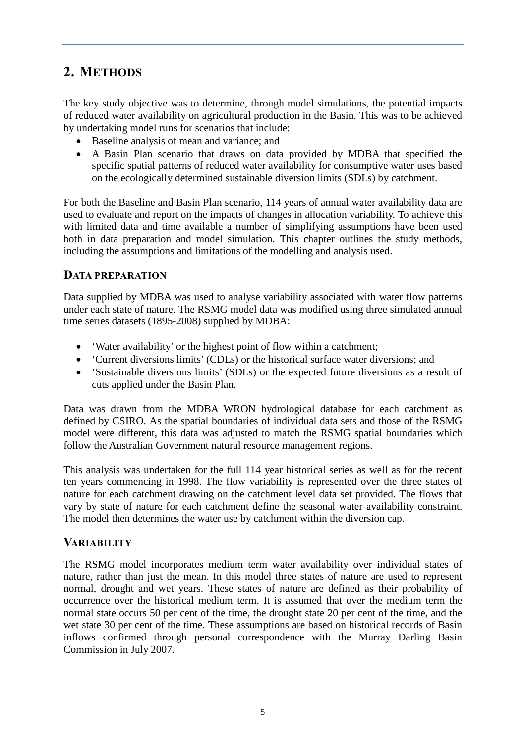# <span id="page-10-0"></span>**2. METHODS**

The key study objective was to determine, through model simulations, the potential impacts of reduced water availability on agricultural production in the Basin. This was to be achieved by undertaking model runs for scenarios that include:

- Baseline analysis of mean and variance; and
- A Basin Plan scenario that draws on data provided by MDBA that specified the specific spatial patterns of reduced water availability for consumptive water uses based on the ecologically determined sustainable diversion limits (SDLs) by catchment.

For both the Baseline and Basin Plan scenario, 114 years of annual water availability data are used to evaluate and report on the impacts of changes in allocation variability. To achieve this with limited data and time available a number of simplifying assumptions have been used both in data preparation and model simulation. This chapter outlines the study methods, including the assumptions and limitations of the modelling and analysis used.

### <span id="page-10-1"></span>**DATA PREPARATION**

Data supplied by MDBA was used to analyse variability associated with water flow patterns under each state of nature. The RSMG model data was modified using three simulated annual time series datasets (1895-2008) supplied by MDBA:

- 'Water availability' or the highest point of flow within a catchment;
- 'Current diversions limits' (CDLs) or the historical surface water diversions; and
- 'Sustainable diversions limits' (SDLs) or the expected future diversions as a result of cuts applied under the Basin Plan.

Data was drawn from the MDBA WRON hydrological database for each catchment as defined by CSIRO. As the spatial boundaries of individual data sets and those of the RSMG model were different, this data was adjusted to match the RSMG spatial boundaries which follow the Australian Government natural resource management regions.

This analysis was undertaken for the full 114 year historical series as well as for the recent ten years commencing in 1998. The flow variability is represented over the three states of nature for each catchment drawing on the catchment level data set provided. The flows that vary by state of nature for each catchment define the seasonal water availability constraint. The model then determines the water use by catchment within the diversion cap.

# <span id="page-10-2"></span>**VARIABILITY**

The RSMG model incorporates medium term water availability over individual states of nature, rather than just the mean. In this model three states of nature are used to represent normal, drought and wet years. These states of nature are defined as their probability of occurrence over the historical medium term. It is assumed that over the medium term the normal state occurs 50 per cent of the time, the drought state 20 per cent of the time, and the wet state 30 per cent of the time. These assumptions are based on historical records of Basin inflows confirmed through personal correspondence with the Murray Darling Basin Commission in July 2007.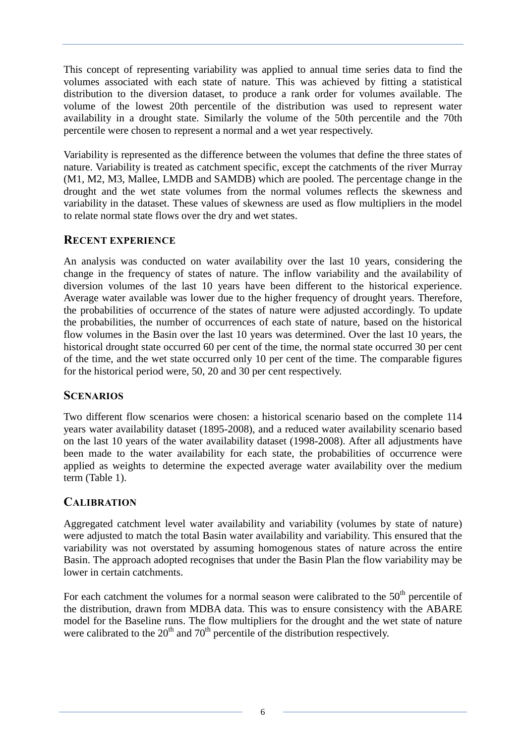This concept of representing variability was applied to annual time series data to find the volumes associated with each state of nature. This was achieved by fitting a statistical distribution to the diversion dataset, to produce a rank order for volumes available. The volume of the lowest 20th percentile of the distribution was used to represent water availability in a drought state. Similarly the volume of the 50th percentile and the 70th percentile were chosen to represent a normal and a wet year respectively.

Variability is represented as the difference between the volumes that define the three states of nature. Variability is treated as catchment specific, except the catchments of the river Murray (M1, M2, M3, Mallee, LMDB and SAMDB) which are pooled. The percentage change in the drought and the wet state volumes from the normal volumes reflects the skewness and variability in the dataset. These values of skewness are used as flow multipliers in the model to relate normal state flows over the dry and wet states.

### <span id="page-11-0"></span>**RECENT EXPERIENCE**

An analysis was conducted on water availability over the last 10 years, considering the change in the frequency of states of nature. The inflow variability and the availability of diversion volumes of the last 10 years have been different to the historical experience. Average water available was lower due to the higher frequency of drought years. Therefore, the probabilities of occurrence of the states of nature were adjusted accordingly. To update the probabilities, the number of occurrences of each state of nature, based on the historical flow volumes in the Basin over the last 10 years was determined. Over the last 10 years, the historical drought state occurred 60 per cent of the time, the normal state occurred 30 per cent of the time, and the wet state occurred only 10 per cent of the time. The comparable figures for the historical period were, 50, 20 and 30 per cent respectively.

### <span id="page-11-1"></span>**SCENARIOS**

Two different flow scenarios were chosen: a historical scenario based on the complete 114 years water availability dataset (1895-2008), and a reduced water availability scenario based on the last 10 years of the water availability dataset (1998-2008). After all adjustments have been made to the water availability for each state, the probabilities of occurrence were applied as weights to determine the expected average water availability over the medium term (Table 1).

# <span id="page-11-2"></span>**CALIBRATION**

Aggregated catchment level water availability and variability (volumes by state of nature) were adjusted to match the total Basin water availability and variability. This ensured that the variability was not overstated by assuming homogenous states of nature across the entire Basin. The approach adopted recognises that under the Basin Plan the flow variability may be lower in certain catchments.

For each catchment the volumes for a normal season were calibrated to the  $50<sup>th</sup>$  percentile of the distribution, drawn from MDBA data. This was to ensure consistency with the ABARE model for the Baseline runs. The flow multipliers for the drought and the wet state of nature were calibrated to the  $20<sup>th</sup>$  and  $70<sup>th</sup>$  percentile of the distribution respectively.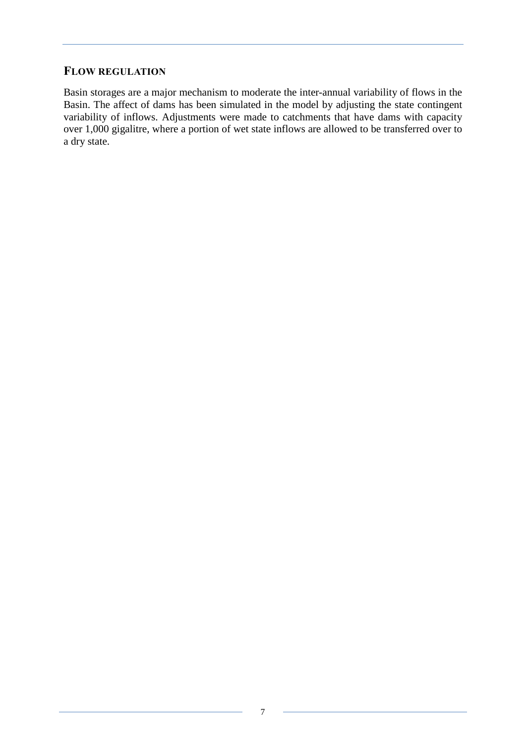# <span id="page-12-0"></span>**FLOW REGULATION**

Basin storages are a major mechanism to moderate the inter-annual variability of flows in the Basin. The affect of dams has been simulated in the model by adjusting the state contingent variability of inflows. Adjustments were made to catchments that have dams with capacity over 1,000 gigalitre, where a portion of wet state inflows are allowed to be transferred over to a dry state.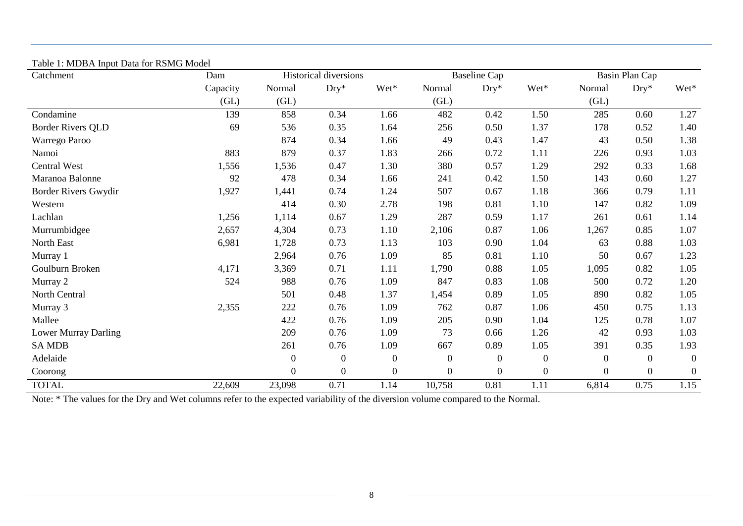| Table 1: MDBA liiput Data for RSMG Model<br>Catchment | Dam      | Historical diversions |                  |                  | <b>Baseline Cap</b> |                  |                  | Basin Plan Cap   |                |                  |
|-------------------------------------------------------|----------|-----------------------|------------------|------------------|---------------------|------------------|------------------|------------------|----------------|------------------|
|                                                       | Capacity | Normal                | $Dry^*$          | Wet*             | Normal              | $Dry^*$          | Wet*             | Normal           | $Dry^*$        | Wet*             |
|                                                       | (GL)     | (GL)                  |                  |                  | (GL)                |                  |                  | (GL)             |                |                  |
| Condamine                                             | 139      | 858                   | 0.34             | 1.66             | 482                 | 0.42             | 1.50             | 285              | 0.60           | 1.27             |
| <b>Border Rivers QLD</b>                              | 69       | 536                   | 0.35             | 1.64             | 256                 | 0.50             | 1.37             | 178              | 0.52           | 1.40             |
| Warrego Paroo                                         |          | 874                   | 0.34             | 1.66             | 49                  | 0.43             | 1.47             | 43               | 0.50           | 1.38             |
| Namoi                                                 | 883      | 879                   | 0.37             | 1.83             | 266                 | 0.72             | 1.11             | 226              | 0.93           | 1.03             |
| <b>Central West</b>                                   | 1,556    | 1,536                 | 0.47             | 1.30             | 380                 | 0.57             | 1.29             | 292              | 0.33           | 1.68             |
| Maranoa Balonne                                       | 92       | 478                   | 0.34             | 1.66             | 241                 | 0.42             | 1.50             | 143              | 0.60           | 1.27             |
| Border Rivers Gwydir                                  | 1,927    | 1,441                 | 0.74             | 1.24             | 507                 | 0.67             | 1.18             | 366              | 0.79           | 1.11             |
| Western                                               |          | 414                   | 0.30             | 2.78             | 198                 | 0.81             | 1.10             | 147              | 0.82           | 1.09             |
| Lachlan                                               | 1,256    | 1,114                 | 0.67             | 1.29             | 287                 | 0.59             | 1.17             | 261              | 0.61           | 1.14             |
| Murrumbidgee                                          | 2,657    | 4,304                 | 0.73             | 1.10             | 2,106               | 0.87             | 1.06             | 1,267            | 0.85           | 1.07             |
| North East                                            | 6,981    | 1,728                 | 0.73             | 1.13             | 103                 | 0.90             | 1.04             | 63               | 0.88           | 1.03             |
| Murray 1                                              |          | 2,964                 | 0.76             | 1.09             | 85                  | 0.81             | 1.10             | 50               | 0.67           | 1.23             |
| Goulburn Broken                                       | 4,171    | 3,369                 | 0.71             | 1.11             | 1,790               | 0.88             | 1.05             | 1,095            | 0.82           | 1.05             |
| Murray 2                                              | 524      | 988                   | 0.76             | 1.09             | 847                 | 0.83             | 1.08             | 500              | 0.72           | 1.20             |
| North Central                                         |          | 501                   | 0.48             | 1.37             | 1,454               | 0.89             | 1.05             | 890              | 0.82           | 1.05             |
| Murray 3                                              | 2,355    | 222                   | 0.76             | 1.09             | 762                 | 0.87             | 1.06             | 450              | 0.75           | 1.13             |
| Mallee                                                |          | 422                   | 0.76             | 1.09             | 205                 | 0.90             | 1.04             | 125              | 0.78           | 1.07             |
| Lower Murray Darling                                  |          | 209                   | 0.76             | 1.09             | 73                  | 0.66             | 1.26             | 42               | 0.93           | 1.03             |
| <b>SA MDB</b>                                         |          | 261                   | 0.76             | 1.09             | 667                 | 0.89             | 1.05             | 391              | 0.35           | 1.93             |
| Adelaide                                              |          | $\overline{0}$        | $\boldsymbol{0}$ | $\boldsymbol{0}$ | $\overline{0}$      | $\boldsymbol{0}$ | $\boldsymbol{0}$ | $\boldsymbol{0}$ | $\Omega$       | $\boldsymbol{0}$ |
| Coorong                                               |          | $\boldsymbol{0}$      | $\boldsymbol{0}$ | $\boldsymbol{0}$ | $\mathbf{0}$        | $\boldsymbol{0}$ | $\boldsymbol{0}$ | $\boldsymbol{0}$ | $\overline{0}$ | $\boldsymbol{0}$ |
| <b>TOTAL</b>                                          | 22,609   | 23,098                | 0.71             | 1.14             | 10,758              | 0.81             | 1.11             | 6,814            | 0.75           | 1.15             |

#### Table 1: MDBA Input Data for RSMG Model

<span id="page-13-0"></span>Note: \* The values for the Dry and Wet columns refer to the expected variability of the diversion volume compared to the Normal.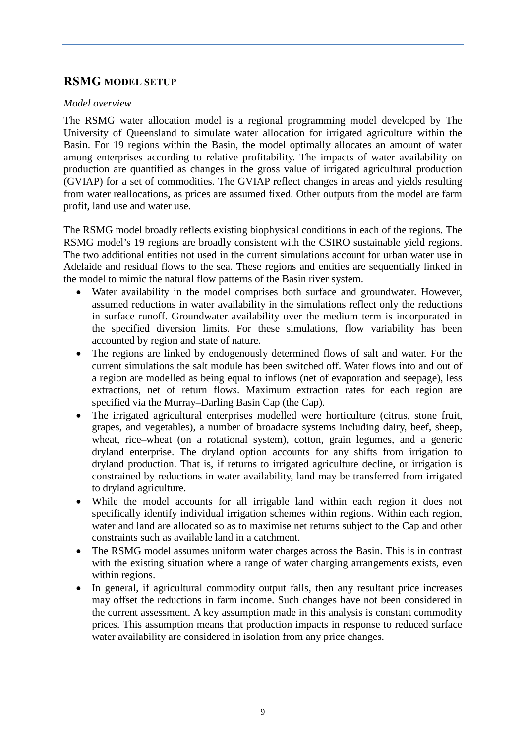# <span id="page-14-0"></span>**RSMG MODEL SETUP**

#### *Model overview*

The RSMG water allocation model is a regional programming model developed by The University of Queensland to simulate water allocation for irrigated agriculture within the Basin. For 19 regions within the Basin, the model optimally allocates an amount of water among enterprises according to relative profitability. The impacts of water availability on production are quantified as changes in the gross value of irrigated agricultural production (GVIAP) for a set of commodities. The GVIAP reflect changes in areas and yields resulting from water reallocations, as prices are assumed fixed. Other outputs from the model are farm profit, land use and water use.

The RSMG model broadly reflects existing biophysical conditions in each of the regions. The RSMG model's 19 regions are broadly consistent with the CSIRO sustainable yield regions. The two additional entities not used in the current simulations account for urban water use in Adelaide and residual flows to the sea. These regions and entities are sequentially linked in the model to mimic the natural flow patterns of the Basin river system.

- Water availability in the model comprises both surface and groundwater. However, assumed reductions in water availability in the simulations reflect only the reductions in surface runoff. Groundwater availability over the medium term is incorporated in the specified diversion limits. For these simulations, flow variability has been accounted by region and state of nature.
- The regions are linked by endogenously determined flows of salt and water. For the current simulations the salt module has been switched off. Water flows into and out of a region are modelled as being equal to inflows (net of evaporation and seepage), less extractions, net of return flows. Maximum extraction rates for each region are specified via the Murray–Darling Basin Cap (the Cap).
- The irrigated agricultural enterprises modelled were horticulture (citrus, stone fruit, grapes, and vegetables), a number of broadacre systems including dairy, beef, sheep, wheat, rice–wheat (on a rotational system), cotton, grain legumes, and a generic dryland enterprise. The dryland option accounts for any shifts from irrigation to dryland production. That is, if returns to irrigated agriculture decline, or irrigation is constrained by reductions in water availability, land may be transferred from irrigated to dryland agriculture.
- While the model accounts for all irrigable land within each region it does not specifically identify individual irrigation schemes within regions. Within each region, water and land are allocated so as to maximise net returns subject to the Cap and other constraints such as available land in a catchment.
- The RSMG model assumes uniform water charges across the Basin. This is in contrast with the existing situation where a range of water charging arrangements exists, even within regions.
- In general, if agricultural commodity output falls, then any resultant price increases may offset the reductions in farm income. Such changes have not been considered in the current assessment. A key assumption made in this analysis is constant commodity prices. This assumption means that production impacts in response to reduced surface water availability are considered in isolation from any price changes.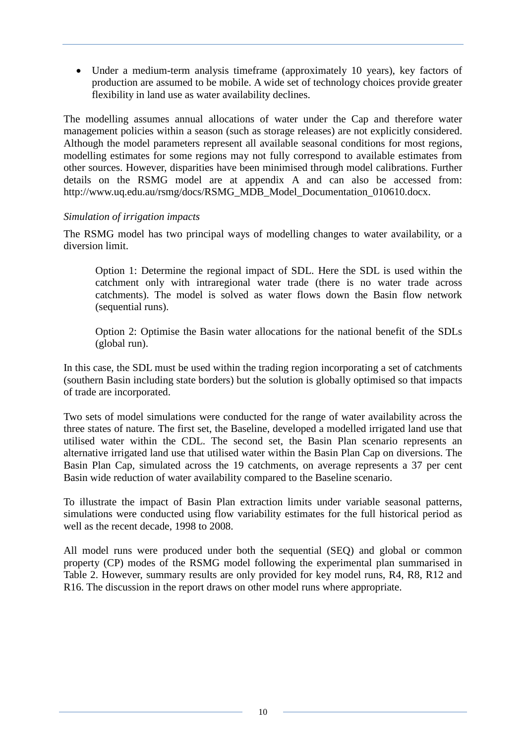• Under a medium-term analysis timeframe (approximately 10 years), key factors of production are assumed to be mobile. A wide set of technology choices provide greater flexibility in land use as water availability declines.

The modelling assumes annual allocations of water under the Cap and therefore water management policies within a season (such as storage releases) are not explicitly considered. Although the model parameters represent all available seasonal conditions for most regions, modelling estimates for some regions may not fully correspond to available estimates from other sources. However, disparities have been minimised through model calibrations. Further details on the RSMG model are at appendix A and can also be accessed from: [http://www.uq.edu.au/rsmg/docs/RSMG\\_MDB\\_Model\\_Documentation\\_010610.docx.](http://www.uq.edu.au/rsmg/docs/RSMG_MDB_Model_Documentation_010610.docx)

#### *Simulation of irrigation impacts*

The RSMG model has two principal ways of modelling changes to water availability, or a diversion limit.

Option 1: Determine the regional impact of SDL. Here the SDL is used within the catchment only with intraregional water trade (there is no water trade across catchments). The model is solved as water flows down the Basin flow network (sequential runs).

Option 2: Optimise the Basin water allocations for the national benefit of the SDLs (global run).

In this case, the SDL must be used within the trading region incorporating a set of catchments (southern Basin including state borders) but the solution is globally optimised so that impacts of trade are incorporated.

Two sets of model simulations were conducted for the range of water availability across the three states of nature. The first set, the Baseline, developed a modelled irrigated land use that utilised water within the CDL. The second set, the Basin Plan scenario represents an alternative irrigated land use that utilised water within the Basin Plan Cap on diversions. The Basin Plan Cap, simulated across the 19 catchments, on average represents a 37 per cent Basin wide reduction of water availability compared to the Baseline scenario.

To illustrate the impact of Basin Plan extraction limits under variable seasonal patterns, simulations were conducted using flow variability estimates for the full historical period as well as the recent decade, 1998 to 2008.

All model runs were produced under both the sequential (SEQ) and global or common property (CP) modes of the RSMG model following the experimental plan summarised in Table 2. However, summary results are only provided for key model runs, R4, R8, R12 and R16. The discussion in the report draws on other model runs where appropriate.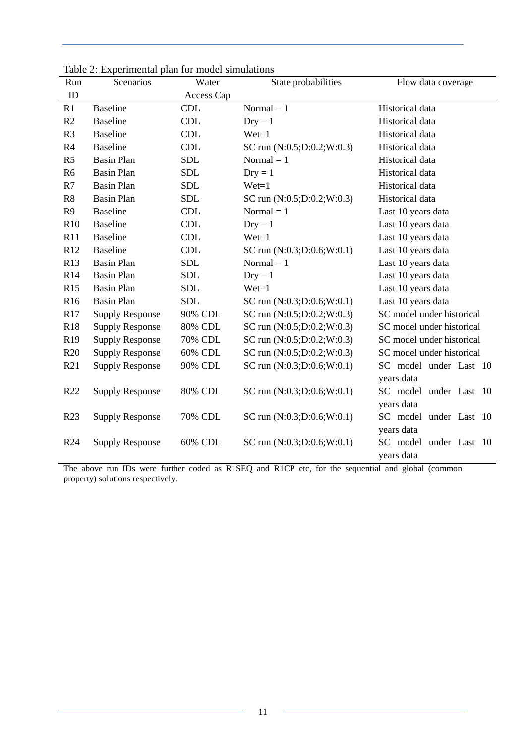| Run             | raore 2. Experimental plan for moder simulations<br>Scenarios | Water          | State probabilities          | Flow data coverage        |
|-----------------|---------------------------------------------------------------|----------------|------------------------------|---------------------------|
| ID              |                                                               | Access Cap     |                              |                           |
| R1              | <b>Baseline</b>                                               | <b>CDL</b>     | Normal $= 1$                 | Historical data           |
| R2              | <b>Baseline</b>                                               | <b>CDL</b>     | $Dry = 1$                    | Historical data           |
| R <sub>3</sub>  | <b>Baseline</b>                                               | <b>CDL</b>     | $Wet=1$                      | Historical data           |
| R4              | <b>Baseline</b>                                               | <b>CDL</b>     | SC run (N:0.5;D:0.2;W:0.3)   | Historical data           |
| R <sub>5</sub>  | <b>Basin Plan</b>                                             | <b>SDL</b>     | Normal $= 1$                 | Historical data           |
| R <sub>6</sub>  | <b>Basin Plan</b>                                             | <b>SDL</b>     | $Dry = 1$                    | Historical data           |
| R7              | <b>Basin Plan</b>                                             | <b>SDL</b>     | $Wet=1$                      | Historical data           |
| R8              | <b>Basin Plan</b>                                             | <b>SDL</b>     | SC run (N:0.5;D:0.2;W:0.3)   | Historical data           |
| R <sub>9</sub>  | <b>Baseline</b>                                               | <b>CDL</b>     | Normal $= 1$                 | Last 10 years data        |
| R10             | <b>Baseline</b>                                               | <b>CDL</b>     | $Dry = 1$                    | Last 10 years data        |
| R11             | <b>Baseline</b>                                               | <b>CDL</b>     | $Wet=1$                      | Last 10 years data        |
| R12             | <b>Baseline</b>                                               | <b>CDL</b>     | SC run $(N:0.3;D:0.6;W:0.1)$ | Last 10 years data        |
| R13             | <b>Basin Plan</b>                                             | <b>SDL</b>     | Normal $= 1$                 | Last 10 years data        |
| R14             | <b>Basin Plan</b>                                             | <b>SDL</b>     | $Dry = 1$                    | Last 10 years data        |
| R15             | <b>Basin Plan</b>                                             | <b>SDL</b>     | $Wet=1$                      | Last 10 years data        |
| R <sub>16</sub> | <b>Basin Plan</b>                                             | <b>SDL</b>     | SC run $(N:0.3;D:0.6;W:0.1)$ | Last 10 years data        |
| R17             | <b>Supply Response</b>                                        | 90% CDL        | SC run (N:0.5;D:0.2;W:0.3)   | SC model under historical |
| R18             | <b>Supply Response</b>                                        | 80% CDL        | SC run (N:0.5;D:0.2;W:0.3)   | SC model under historical |
| R <sub>19</sub> | <b>Supply Response</b>                                        | 70% CDL        | SC run (N:0.5;D:0.2;W:0.3)   | SC model under historical |
| R20             | <b>Supply Response</b>                                        | 60% CDL        | SC run (N:0.5;D:0.2;W:0.3)   | SC model under historical |
| R21             | <b>Supply Response</b>                                        | 90% CDL        | SC run $(N:0.3;D:0.6;W:0.1)$ | SC model under Last 10    |
|                 |                                                               |                |                              | years data                |
| R22             | <b>Supply Response</b>                                        | <b>80% CDL</b> | SC run (N:0.3;D:0.6;W:0.1)   | SC model under Last 10    |
|                 |                                                               |                |                              | years data                |
| R23             | <b>Supply Response</b>                                        | 70% CDL        | SC run $(N:0.3;D:0.6;W:0.1)$ | SC model under Last 10    |
|                 |                                                               |                |                              | years data                |
| R24             | <b>Supply Response</b>                                        | 60% CDL        | SC run $(N:0.3;D:0.6;W:0.1)$ | SC model under Last 10    |
|                 |                                                               |                |                              | years data                |

<span id="page-16-0"></span>Table 2: Experimental plan for model simulations

The above run IDs were further coded as R1SEQ and R1CP etc, for the sequential and global (common property) solutions respectively.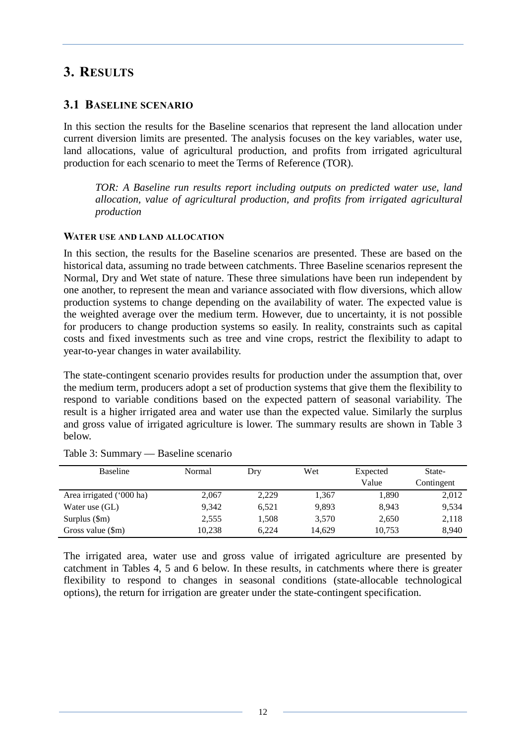# <span id="page-17-0"></span>**3. RESULTS**

#### <span id="page-17-1"></span>**3.1 BASELINE SCENARIO**

In this section the results for the Baseline scenarios that represent the land allocation under current diversion limits are presented. The analysis focuses on the key variables, water use, land allocations, value of agricultural production, and profits from irrigated agricultural production for each scenario to meet the Terms of Reference (TOR).

*TOR: A Baseline run results report including outputs on predicted water use, land allocation, value of agricultural production, and profits from irrigated agricultural production* 

#### <span id="page-17-2"></span>**WATER USE AND LAND ALLOCATION**

In this section, the results for the Baseline scenarios are presented. These are based on the historical data, assuming no trade between catchments. Three Baseline scenarios represent the Normal, Dry and Wet state of nature. These three simulations have been run independent by one another, to represent the mean and variance associated with flow diversions, which allow production systems to change depending on the availability of water. The expected value is the weighted average over the medium term. However, due to uncertainty, it is not possible for producers to change production systems so easily. In reality, constraints such as capital costs and fixed investments such as tree and vine crops, restrict the flexibility to adapt to year-to-year changes in water availability.

The state-contingent scenario provides results for production under the assumption that, over the medium term, producers adopt a set of production systems that give them the flexibility to respond to variable conditions based on the expected pattern of seasonal variability. The result is a higher irrigated area and water use than the expected value. Similarly the surplus and gross value of irrigated agriculture is lower. The summary results are shown in Table 3 below.

| <b>Baseline</b>          | Normal | Dry   | Wet    | Expected<br>Value | State-<br>Contingent |
|--------------------------|--------|-------|--------|-------------------|----------------------|
| Area irrigated ('000 ha) | 2.067  | 2,229 | 1,367  | 1,890             | 2,012                |
| Water use (GL)           | 9.342  | 6,521 | 9,893  | 8,943             | 9,534                |
| Surplus $(\text{Sm})$    | 2.555  | 1.508 | 3,570  | 2,650             | 2,118                |
| Gross value (\$m)        | 10.238 | 6.224 | 14,629 | 10,753            | 8,940                |

#### <span id="page-17-3"></span>Table 3: Summary — Baseline scenario

The irrigated area, water use and gross value of irrigated agriculture are presented by catchment in Tables 4, 5 and 6 below. In these results, in catchments where there is greater flexibility to respond to changes in seasonal conditions (state-allocable technological options), the return for irrigation are greater under the state-contingent specification.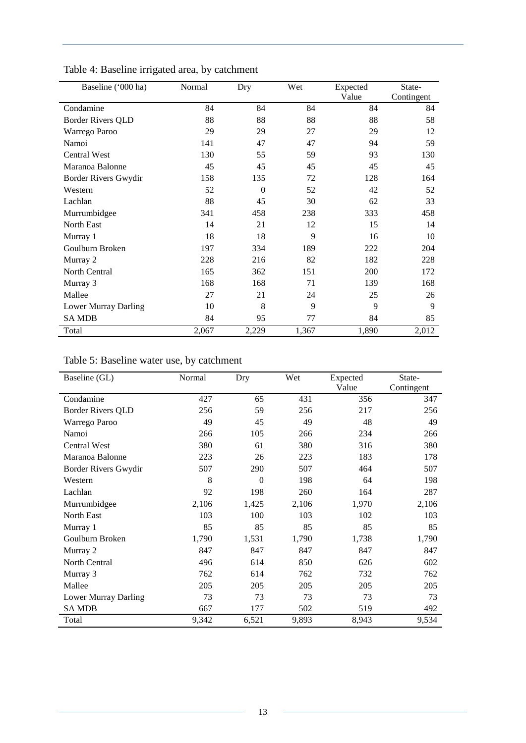| Baseline ('000 ha)       | Normal | Dry      | Wet   | Expected | State-     |
|--------------------------|--------|----------|-------|----------|------------|
|                          |        |          |       | Value    | Contingent |
| Condamine                | 84     | 84       | 84    | 84       | 84         |
| <b>Border Rivers QLD</b> | 88     | 88       | 88    | 88       | 58         |
| Warrego Paroo            | 29     | 29       | 27    | 29       | 12         |
| Namoi                    | 141    | 47       | 47    | 94       | 59         |
| Central West             | 130    | 55       | 59    | 93       | 130        |
| Maranoa Balonne          | 45     | 45       | 45    | 45       | 45         |
| Border Rivers Gwydir     | 158    | 135      | 72    | 128      | 164        |
| Western                  | 52     | $\Omega$ | 52    | 42       | 52         |
| Lachlan                  | 88     | 45       | 30    | 62       | 33         |
| Murrumbidgee             | 341    | 458      | 238   | 333      | 458        |
| North East               | 14     | 21       | 12    | 15       | 14         |
| Murray 1                 | 18     | 18       | 9     | 16       | 10         |
| Goulburn Broken          | 197    | 334      | 189   | 222      | 204        |
| Murray 2                 | 228    | 216      | 82    | 182      | 228        |
| North Central            | 165    | 362      | 151   | 200      | 172        |
| Murray 3                 | 168    | 168      | 71    | 139      | 168        |
| Mallee                   | 27     | 21       | 24    | 25       | 26         |
| Lower Murray Darling     | 10     | 8        | 9     | 9        | 9          |
| <b>SAMDB</b>             | 84     | 95       | 77    | 84       | 85         |
| Total                    | 2,067  | 2,229    | 1,367 | 1,890    | 2,012      |

<span id="page-18-0"></span>Table 4: Baseline irrigated area, by catchment

# <span id="page-18-1"></span>Table 5: Baseline water use, by catchment

| Baseline (GL)            | Normal | Dry      | Wet   | Expected | State-     |
|--------------------------|--------|----------|-------|----------|------------|
|                          |        |          |       | Value    | Contingent |
| Condamine                | 427    | 65       | 431   | 356      | 347        |
| <b>Border Rivers QLD</b> | 256    | 59       | 256   | 217      | 256        |
| Warrego Paroo            | 49     | 45       | 49    | 48       | 49         |
| Namoi                    | 266    | 105      | 266   | 234      | 266        |
| <b>Central West</b>      | 380    | 61       | 380   | 316      | 380        |
| Maranoa Balonne          | 223    | 26       | 223   | 183      | 178        |
| Border Rivers Gwydir     | 507    | 290      | 507   | 464      | 507        |
| Western                  | 8      | $\Omega$ | 198   | 64       | 198        |
| Lachlan                  | 92     | 198      | 260   | 164      | 287        |
| Murrumbidgee             | 2,106  | 1,425    | 2,106 | 1,970    | 2,106      |
| <b>North East</b>        | 103    | 100      | 103   | 102      | 103        |
| Murray 1                 | 85     | 85       | 85    | 85       | 85         |
| Goulburn Broken          | 1,790  | 1,531    | 1,790 | 1,738    | 1,790      |
| Murray 2                 | 847    | 847      | 847   | 847      | 847        |
| North Central            | 496    | 614      | 850   | 626      | 602        |
| Murray 3                 | 762    | 614      | 762   | 732      | 762        |
| Mallee                   | 205    | 205      | 205   | 205      | 205        |
| Lower Murray Darling     | 73     | 73       | 73    | 73       | 73         |
| <b>SAMDB</b>             | 667    | 177      | 502   | 519      | 492        |
| Total                    | 9,342  | 6,521    | 9,893 | 8,943    | 9,534      |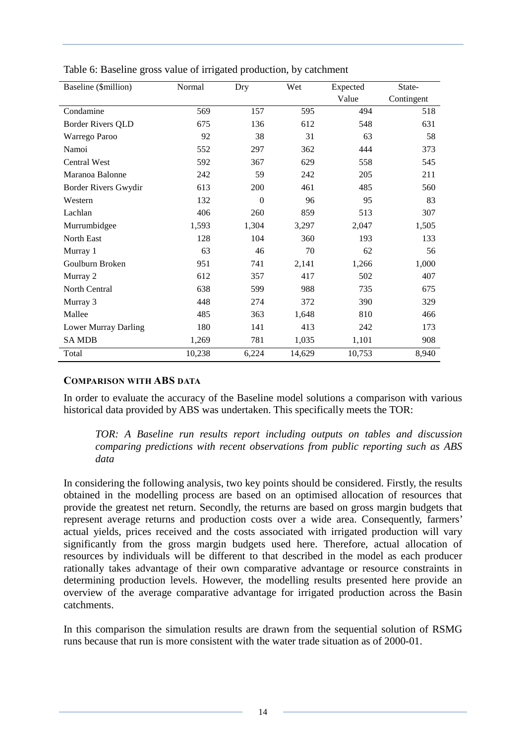| Baseline (\$million)     | Normal | Dry      | Wet    | Expected | State-     |  |
|--------------------------|--------|----------|--------|----------|------------|--|
|                          |        |          |        | Value    | Contingent |  |
| Condamine                | 569    | 157      | 595    | 494      | 518        |  |
| <b>Border Rivers QLD</b> | 675    | 136      | 612    | 548      | 631        |  |
| Warrego Paroo            | 92     | 38       | 31     | 63       | 58         |  |
| Namoi                    | 552    | 297      | 362    | 444      | 373        |  |
| <b>Central West</b>      | 592    | 367      | 629    | 558      | 545        |  |
| Maranoa Balonne          | 242    | 59       | 242    | 205      | 211        |  |
| Border Rivers Gwydir     | 613    | 200      | 461    | 485      | 560        |  |
| Western                  | 132    | $\theta$ | 96     | 95       | 83         |  |
| Lachlan                  | 406    | 260      | 859    | 513      | 307        |  |
| Murrumbidgee             | 1,593  | 1,304    | 3,297  | 2,047    | 1,505      |  |
| North East               | 128    | 104      | 360    | 193      | 133        |  |
| Murray 1                 | 63     | 46       | 70     | 62       | 56         |  |
| Goulburn Broken          | 951    | 741      | 2,141  | 1,266    | 1,000      |  |
| Murray 2                 | 612    | 357      | 417    | 502      | 407        |  |
| <b>North Central</b>     | 638    | 599      | 988    | 735      | 675        |  |
| Murray 3                 | 448    | 274      | 372    | 390      | 329        |  |
| Mallee                   | 485    | 363      | 1,648  | 810      | 466        |  |
| Lower Murray Darling     | 180    | 141      | 413    | 242      | 173        |  |
| <b>SAMDB</b>             | 1,269  | 781      | 1,035  | 1,101    | 908        |  |
| Total                    | 10,238 | 6,224    | 14,629 | 10,753   | 8,940      |  |

<span id="page-19-1"></span>Table 6: Baseline gross value of irrigated production, by catchment

#### <span id="page-19-0"></span>**COMPARISON WITH ABS DATA**

In order to evaluate the accuracy of the Baseline model solutions a comparison with various historical data provided by ABS was undertaken. This specifically meets the TOR:

*TOR: A Baseline run results report including outputs on tables and discussion comparing predictions with recent observations from public reporting such as ABS data* 

In considering the following analysis, two key points should be considered. Firstly, the results obtained in the modelling process are based on an optimised allocation of resources that provide the greatest net return. Secondly, the returns are based on gross margin budgets that represent average returns and production costs over a wide area. Consequently, farmers' actual yields, prices received and the costs associated with irrigated production will vary significantly from the gross margin budgets used here. Therefore, actual allocation of resources by individuals will be different to that described in the model as each producer rationally takes advantage of their own comparative advantage or resource constraints in determining production levels. However, the modelling results presented here provide an overview of the average comparative advantage for irrigated production across the Basin catchments.

In this comparison the simulation results are drawn from the sequential solution of RSMG runs because that run is more consistent with the water trade situation as of 2000-01.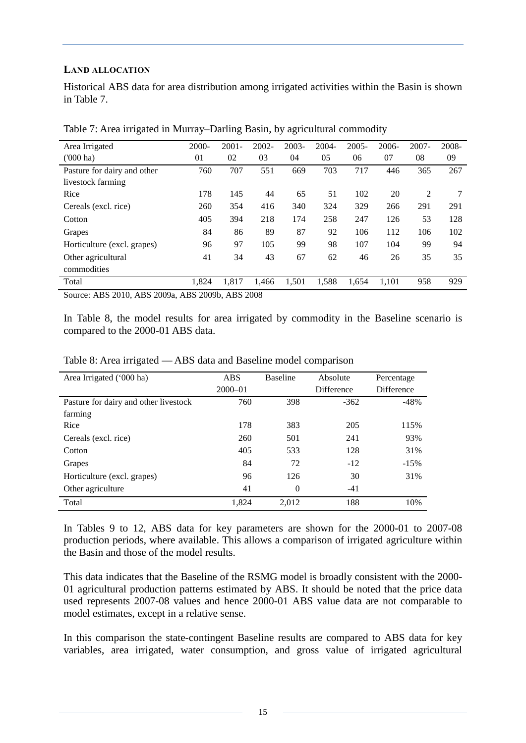#### <span id="page-20-0"></span>**LAND ALLOCATION**

Historical ABS data for area distribution among irrigated activities within the Basin is shown in Table 7.

| Area Irrigated              | $2000 -$ | $2001 -$ | $2002 -$ | $2003 -$ | $2004 -$ | $2005 -$ | $2006 -$ | $2007 -$ | 2008- |
|-----------------------------|----------|----------|----------|----------|----------|----------|----------|----------|-------|
| $(000)$ ha)                 | 01       | 02       | 03       | 04       | 05       | 06       | 07       | 08       | 09    |
| Pasture for dairy and other | 760      | 707      | 551      | 669      | 703      | 717      | 446      | 365      | 267   |
| livestock farming           |          |          |          |          |          |          |          |          |       |
| Rice                        | 178      | 145      | 44       | 65       | 51       | 102      | 20       | 2        |       |
| Cereals (excl. rice)        | 260      | 354      | 416      | 340      | 324      | 329      | 266      | 291      | 291   |
| Cotton                      | 405      | 394      | 218      | 174      | 258      | 247      | 126      | 53       | 128   |
| Grapes                      | 84       | 86       | 89       | 87       | 92       | 106      | 112      | 106      | 102   |
| Horticulture (excl. grapes) | 96       | 97       | 105      | 99       | 98       | 107      | 104      | 99       | 94    |
| Other agricultural          | 41       | 34       | 43       | 67       | 62       | 46       | 26       | 35       | 35    |
| commodities                 |          |          |          |          |          |          |          |          |       |
| Total                       | 1,824    | 1,817    | 1,466    | 1,501    | 1,588    | 1,654    | 1,101    | 958      | 929   |

<span id="page-20-1"></span>Table 7: Area irrigated in Murray–Darling Basin, by agricultural commodity

Source: ABS 2010, ABS 2009a, ABS 2009b, ABS 2008

In Table 8, the model results for area irrigated by commodity in the Baseline scenario is compared to the 2000-01 ABS data.

| Area Irrigated ('000 ha)              | <b>ABS</b>  | <b>Baseline</b> | Absolute          | Percentage |
|---------------------------------------|-------------|-----------------|-------------------|------------|
|                                       | $2000 - 01$ |                 | <b>Difference</b> | Difference |
| Pasture for dairy and other livestock | 760         | 398             | $-362$            | $-48%$     |
| farming                               |             |                 |                   |            |
| Rice                                  | 178         | 383             | 205               | 115%       |
| Cereals (excl. rice)                  | 260         | 501             | 241               | 93%        |
| Cotton                                | 405         | 533             | 128               | 31%        |
| Grapes                                | 84          | 72              | $-12$             | $-15%$     |
| Horticulture (excl. grapes)           | 96          | 126             | 30                | 31%        |
| Other agriculture                     | 41          | $\theta$        | $-41$             |            |
| Total                                 | 1.824       | 2.012           | 188               | 10%        |

<span id="page-20-2"></span>Table 8: Area irrigated — ABS data and Baseline model comparison

In Tables 9 to 12, ABS data for key parameters are shown for the 2000-01 to 2007-08 production periods, where available. This allows a comparison of irrigated agriculture within the Basin and those of the model results.

This data indicates that the Baseline of the RSMG model is broadly consistent with the 2000- 01 agricultural production patterns estimated by ABS. It should be noted that the price data used represents 2007-08 values and hence 2000-01 ABS value data are not comparable to model estimates, except in a relative sense.

In this comparison the state-contingent Baseline results are compared to ABS data for key variables, area irrigated, water consumption, and gross value of irrigated agricultural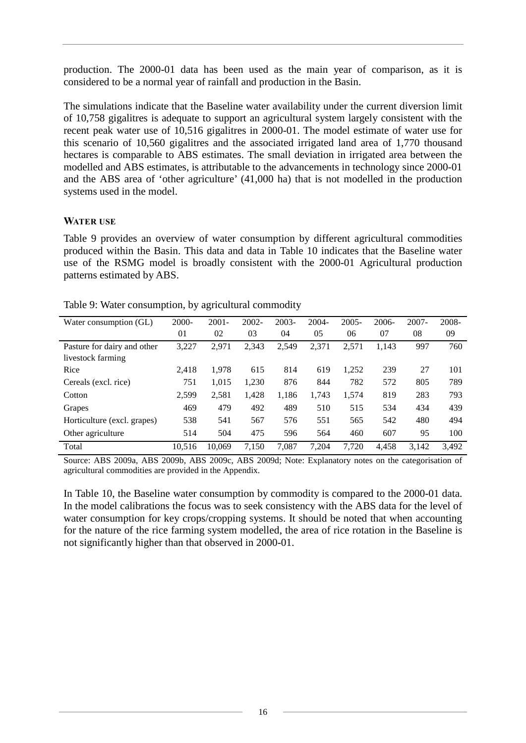production. The 2000-01 data has been used as the main year of comparison, as it is considered to be a normal year of rainfall and production in the Basin.

The simulations indicate that the Baseline water availability under the current diversion limit of 10,758 gigalitres is adequate to support an agricultural system largely consistent with the recent peak water use of 10,516 gigalitres in 2000-01. The model estimate of water use for this scenario of 10,560 gigalitres and the associated irrigated land area of 1,770 thousand hectares is comparable to ABS estimates. The small deviation in irrigated area between the modelled and ABS estimates, is attributable to the advancements in technology since 2000-01 and the ABS area of 'other agriculture' (41,000 ha) that is not modelled in the production systems used in the model.

#### <span id="page-21-0"></span>**WATER USE**

[Table 9](#page-21-1) provides an overview of water consumption by different agricultural commodities produced within the Basin. This data and data in Table 10 indicates that the Baseline water use of the RSMG model is broadly consistent with the 2000-01 Agricultural production patterns estimated by ABS.

| Water consumption (GL)      | $2000 -$ | $2001 -$ | $2002 -$ | $2003 -$ | $2004 -$ | $2005 -$ | $2006 -$ | $2007 -$ | 2008- |
|-----------------------------|----------|----------|----------|----------|----------|----------|----------|----------|-------|
|                             | 01       | 02       | 03       | 04       | 05       | 06       | 07       | 08       | 09    |
| Pasture for dairy and other | 3,227    | 2,971    | 2,343    | 2,549    | 2,371    | 2,571    | 1,143    | 997      | 760   |
| livestock farming           |          |          |          |          |          |          |          |          |       |
| Rice                        | 2.418    | 1.978    | 615      | 814      | 619      | 1,252    | 239      | 27       | 101   |
| Cereals (excl. rice)        | 751      | 1,015    | 1,230    | 876      | 844      | 782      | 572      | 805      | 789   |
| Cotton                      | 2,599    | 2,581    | 1,428    | 1,186    | 1,743    | 1,574    | 819      | 283      | 793   |
| Grapes                      | 469      | 479      | 492      | 489      | 510      | 515      | 534      | 434      | 439   |
| Horticulture (excl. grapes) | 538      | 541      | 567      | 576      | 551      | 565      | 542      | 480      | 494   |
| Other agriculture           | 514      | 504      | 475      | 596      | 564      | 460      | 607      | 95       | 100   |
| Total                       | 10,516   | 10.069   | 7.150    | 7.087    | 7.204    | 7.720    | 4.458    | 3.142    | 3.492 |

<span id="page-21-1"></span>Table 9: Water consumption, by agricultural commodity

Source: ABS 2009a, ABS 2009b, ABS 2009c, ABS 2009d; Note: Explanatory notes on the categorisation of agricultural commodities are provided in the Appendix.

In Table 10, the Baseline water consumption by commodity is compared to the 2000-01 data. In the model calibrations the focus was to seek consistency with the ABS data for the level of water consumption for key crops/cropping systems. It should be noted that when accounting for the nature of the rice farming system modelled, the area of rice rotation in the Baseline is not significantly higher than that observed in 2000-01.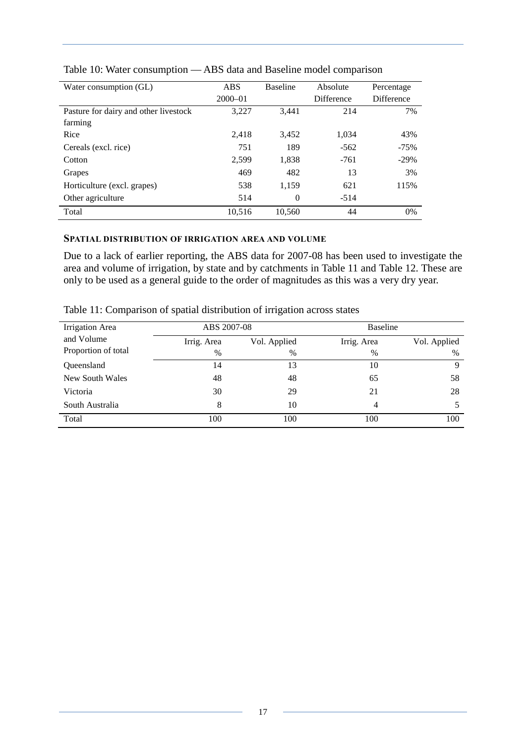| Water consumption (GL)                | <b>ABS</b><br>$2000 - 01$ | <b>Baseline</b> | Absolute<br><b>Difference</b> | Percentage<br>Difference |  |
|---------------------------------------|---------------------------|-----------------|-------------------------------|--------------------------|--|
|                                       |                           |                 |                               |                          |  |
| Pasture for dairy and other livestock | 3,227                     | 3.441           | 214                           | 7%                       |  |
| farming                               |                           |                 |                               |                          |  |
| Rice                                  | 2.418                     | 3,452           | 1,034                         | 43%                      |  |
| Cereals (excl. rice)                  | 751                       | 189             | $-562$                        | $-75%$                   |  |
| Cotton                                | 2,599                     | 1,838           | $-761$                        | $-29%$                   |  |
| Grapes                                | 469                       | 482             | 13                            | 3%                       |  |
| Horticulture (excl. grapes)           | 538                       | 1,159           | 621                           | 115%                     |  |
| Other agriculture                     | 514                       | $\Omega$        | $-514$                        |                          |  |
| Total                                 | 10,516                    | 10,560          | 44                            | $0\%$                    |  |

<span id="page-22-1"></span>Table 10: Water consumption — ABS data and Baseline model comparison

#### <span id="page-22-0"></span>**SPATIAL DISTRIBUTION OF IRRIGATION AREA AND VOLUME**

Due to a lack of earlier reporting, the ABS data for 2007-08 has been used to investigate the area and volume of irrigation, by state and by catchments in Table 11 and Table 12. These are only to be used as a general guide to the order of magnitudes as this was a very dry year.

<span id="page-22-2"></span>Table 11: Comparison of spatial distribution of irrigation across states

| Irrigation Area     | ABS 2007-08 |              |             | Baseline     |
|---------------------|-------------|--------------|-------------|--------------|
| and Volume          | Irrig. Area | Vol. Applied | Irrig. Area | Vol. Applied |
| Proportion of total | $\%$        | $\%$         | $\%$        | $\%$         |
| Oueensland          | 14          | 13           | 10          | $\mathbf Q$  |
| New South Wales     | 48          | 48           | 65          | 58           |
| Victoria            | 30          | 29           | 21          | 28           |
| South Australia     | 8           | 10           | 4           |              |
| Total               | 100         | 100          | 100         | 100          |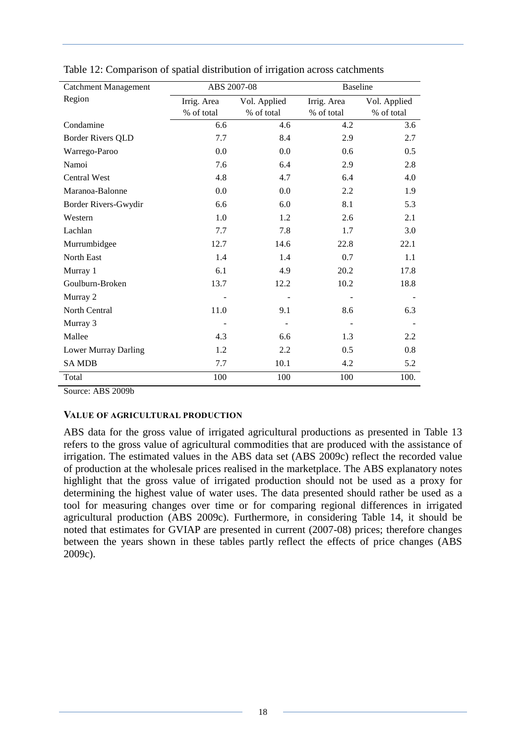| <b>Catchment Management</b> | ABS 2007-08 |              | <b>Baseline</b> |              |  |
|-----------------------------|-------------|--------------|-----------------|--------------|--|
| Region                      | Irrig. Area | Vol. Applied | Irrig. Area     | Vol. Applied |  |
|                             | % of total  | % of total   | % of total      | % of total   |  |
| Condamine                   | 6.6         | 4.6          | 4.2             | 3.6          |  |
| <b>Border Rivers QLD</b>    | 7.7         | 8.4          | 2.9             | 2.7          |  |
| Warrego-Paroo               | 0.0         | 0.0          | 0.6             | 0.5          |  |
| Namoi                       | 7.6         | 6.4          | 2.9             | 2.8          |  |
| <b>Central West</b>         | 4.8         | 4.7          | 6.4             | 4.0          |  |
| Maranoa-Balonne             | 0.0         | 0.0          | 2.2             | 1.9          |  |
| Border Rivers-Gwydir        | 6.6         | 6.0          | 8.1             | 5.3          |  |
| Western                     | 1.0         | 1.2          | 2.6             | 2.1          |  |
| Lachlan                     | 7.7         | 7.8          | 1.7             | 3.0          |  |
| Murrumbidgee                | 12.7        | 14.6         | 22.8            | 22.1         |  |
| North East                  | 1.4         | 1.4          | 0.7             | 1.1          |  |
| Murray 1                    | 6.1         | 4.9          | 20.2            | 17.8         |  |
| Goulburn-Broken             | 13.7        | 12.2         | 10.2            | 18.8         |  |
| Murray 2                    |             |              |                 |              |  |
| North Central               | 11.0        | 9.1          | 8.6             | 6.3          |  |
| Murray 3                    |             |              |                 |              |  |
| Mallee                      | 4.3         | 6.6          | 1.3             | 2.2          |  |
| Lower Murray Darling        | 1.2         | 2.2          | 0.5             | 0.8          |  |
| <b>SAMDB</b>                | 7.7         | 10.1         | 4.2             | 5.2          |  |
| Total                       | 100         | 100          | 100             | 100.         |  |

<span id="page-23-1"></span>Table 12: Comparison of spatial distribution of irrigation across catchments

Source: ABS 2009b

#### <span id="page-23-0"></span>**VALUE OF AGRICULTURAL PRODUCTION**

ABS data for the gross value of irrigated agricultural productions as presented in Table 13 refers to the gross value of agricultural commodities that are produced with the assistance of irrigation. The estimated values in the ABS data set (ABS 2009c) reflect the recorded value of production at the wholesale prices realised in the marketplace. The ABS explanatory notes highlight that the gross value of irrigated production should not be used as a proxy for determining the highest value of water uses. The data presented should rather be used as a tool for measuring changes over time or for comparing regional differences in irrigated agricultural production (ABS 2009c). Furthermore, in considering Table 14, it should be noted that estimates for GVIAP are presented in current (2007-08) prices; therefore changes between the years shown in these tables partly reflect the effects of price changes (ABS 2009c).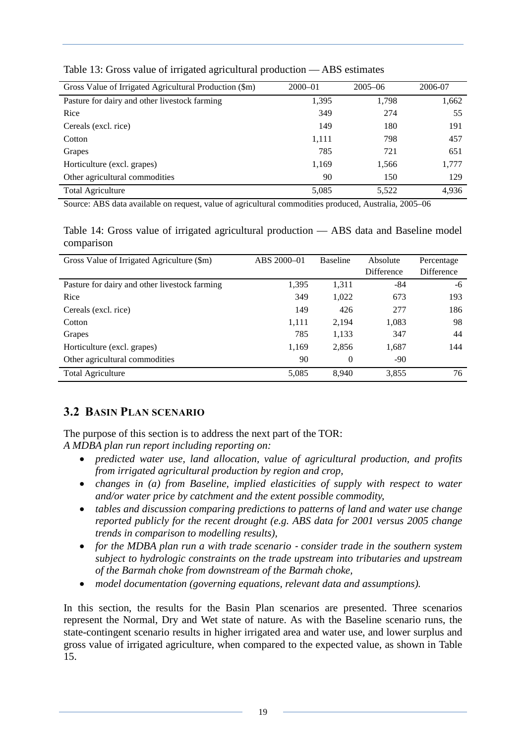| Gross Value of Irrigated Agricultural Production (\$m) | $2000 - 01$ | $2005 - 06$ | 2006-07 |
|--------------------------------------------------------|-------------|-------------|---------|
| Pasture for dairy and other livestock farming          | 1,395       | 1,798       | 1,662   |
| Rice                                                   | 349         | 274         | 55      |
| Cereals (excl. rice)                                   | 149         | 180         | 191     |
| Cotton                                                 | 1,111       | 798         | 457     |
| Grapes                                                 | 785         | 721         | 651     |
| Horticulture (excl. grapes)                            | 1,169       | 1,566       | 1,777   |
| Other agricultural commodities                         | 90          | 150         | 129     |
| <b>Total Agriculture</b>                               | 5,085       | 5,522       | 4,936   |

<span id="page-24-1"></span>Table 13: Gross value of irrigated agricultural production — ABS estimates

Source: ABS data available on request, value of agricultural commodities produced, Australia, 2005–06

<span id="page-24-2"></span>Table 14: Gross value of irrigated agricultural production — ABS data and Baseline model comparison

| Gross Value of Irrigated Agriculture (\$m)    | ABS 2000-01 | <b>Baseline</b> | Absolute   | Percentage |
|-----------------------------------------------|-------------|-----------------|------------|------------|
|                                               |             |                 | Difference | Difference |
| Pasture for dairy and other livestock farming | 1,395       | 1,311           | -84        | -6         |
| Rice                                          | 349         | 1,022           | 673        | 193        |
| Cereals (excl. rice)                          | 149         | 426             | 277        | 186        |
| Cotton                                        | 1,111       | 2,194           | 1,083      | 98         |
| Grapes                                        | 785         | 1,133           | 347        | 44         |
| Horticulture (excl. grapes)                   | 1,169       | 2,856           | 1,687      | 144        |
| Other agricultural commodities                | 90          | $\Omega$        | $-90$      |            |
| <b>Total Agriculture</b>                      | 5,085       | 8.940           | 3,855      | 76         |

# <span id="page-24-0"></span>**3.2 BASIN PLAN SCENARIO**

The purpose of this section is to address the next part of the TOR:

*A MDBA plan run report including reporting on:* 

- *predicted water use, land allocation, value of agricultural production, and profits from irrigated agricultural production by region and crop,*
- *changes in (a) from Baseline, implied elasticities of supply with respect to water and/or water price by catchment and the extent possible commodity,*
- *tables and discussion comparing predictions to patterns of land and water use change reported publicly for the recent drought (e.g. ABS data for 2001 versus 2005 change trends in comparison to modelling results),*
- *for the MDBA plan run a with trade scenario consider trade in the southern system subject to hydrologic constraints on the trade upstream into tributaries and upstream of the Barmah choke from downstream of the Barmah choke,*
- *model documentation (governing equations, relevant data and assumptions).*

In this section, the results for the Basin Plan scenarios are presented. Three scenarios represent the Normal, Dry and Wet state of nature. As with the Baseline scenario runs, the state-contingent scenario results in higher irrigated area and water use, and lower surplus and gross value of irrigated agriculture, when compared to the expected value, as shown in Table 15.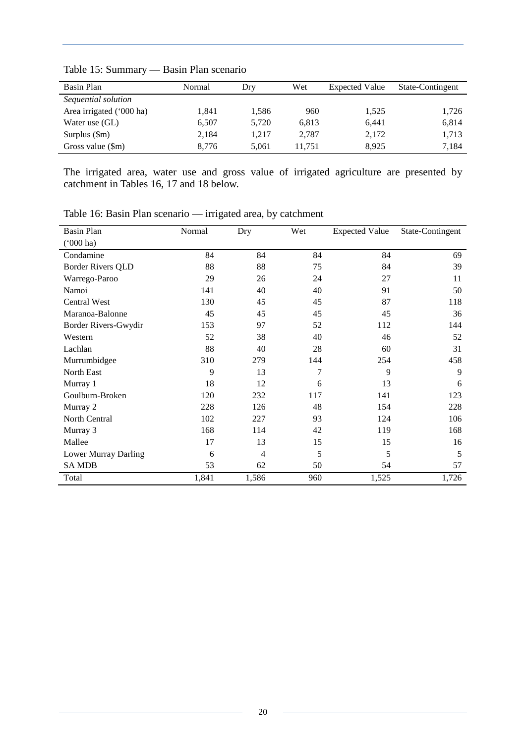| Basin Plan                | Normal | Dry   | Wet    | <b>Expected Value</b> | State-Contingent |
|---------------------------|--------|-------|--------|-----------------------|------------------|
| Sequential solution       |        |       |        |                       |                  |
| Area irrigated ('000 ha)  | 1.841  | 1,586 | 960    | 1,525                 | 1,726            |
| Water use (GL)            | 6.507  | 5,720 | 6,813  | 6.441                 | 6,814            |
| Surplus $(\text{Sm})$     | 2.184  | 1.217 | 2,787  | 2,172                 | 1,713            |
| Gross value $(\text{Sm})$ | 8.776  | 5.061 | 11.751 | 8.925                 | 7.184            |

<span id="page-25-0"></span>Table 15: Summary — Basin Plan scenario

The irrigated area, water use and gross value of irrigated agriculture are presented by catchment in Tables 16, 17 and 18 below.

| <b>Basin Plan</b>        | Normal | Dry   | Wet | <b>Expected Value</b> | State-Contingent |
|--------------------------|--------|-------|-----|-----------------------|------------------|
| $(000 \text{ ha})$       |        |       |     |                       |                  |
| Condamine                | 84     | 84    | 84  | 84                    | 69               |
| <b>Border Rivers QLD</b> | 88     | 88    | 75  | 84                    | 39               |
| Warrego-Paroo            | 29     | 26    | 24  | 27                    | 11               |
| Namoi                    | 141    | 40    | 40  | 91                    | 50               |
| <b>Central West</b>      | 130    | 45    | 45  | 87                    | 118              |
| Maranoa-Balonne          | 45     | 45    | 45  | 45                    | 36               |
| Border Rivers-Gwydir     | 153    | 97    | 52  | 112                   | 144              |
| Western                  | 52     | 38    | 40  | 46                    | 52               |
| Lachlan                  | 88     | 40    | 28  | 60                    | 31               |
| Murrumbidgee             | 310    | 279   | 144 | 254                   | 458              |
| North East               | 9      | 13    | 7   | 9                     | 9                |
| Murray 1                 | 18     | 12    | 6   | 13                    | 6                |
| Goulburn-Broken          | 120    | 232   | 117 | 141                   | 123              |
| Murray 2                 | 228    | 126   | 48  | 154                   | 228              |
| North Central            | 102    | 227   | 93  | 124                   | 106              |
| Murray 3                 | 168    | 114   | 42  | 119                   | 168              |
| Mallee                   | 17     | 13    | 15  | 15                    | 16               |
| Lower Murray Darling     | 6      | 4     | 5   | 5                     | 5                |
| <b>SAMDB</b>             | 53     | 62    | 50  | 54                    | 57               |
| Total                    | 1,841  | 1,586 | 960 | 1,525                 | 1,726            |

<span id="page-25-1"></span>Table 16: Basin Plan scenario — irrigated area, by catchment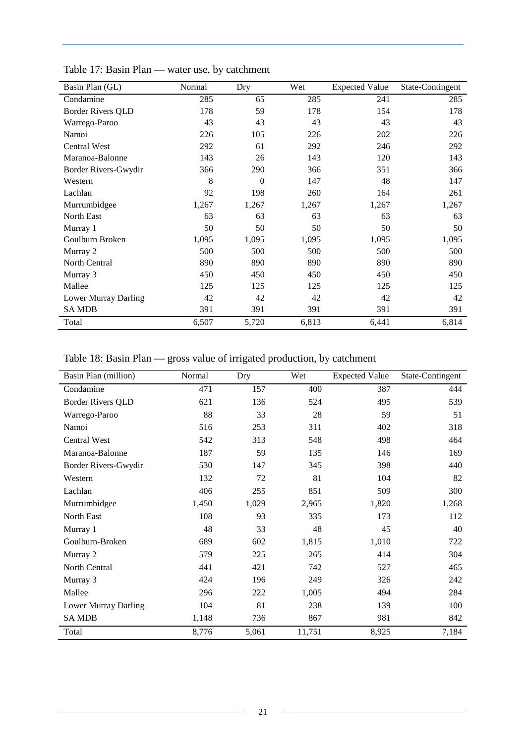| Basin Plan (GL)          | Normal | Dry            | Wet   | <b>Expected Value</b> | State-Contingent |
|--------------------------|--------|----------------|-------|-----------------------|------------------|
| Condamine                | 285    | 65             | 285   | 241                   | 285              |
| <b>Border Rivers QLD</b> | 178    | 59             | 178   | 154                   | 178              |
| Warrego-Paroo            | 43     | 43             | 43    | 43                    | 43               |
| Namoi                    | 226    | 105            | 226   | 202                   | 226              |
| <b>Central West</b>      | 292    | 61             | 292   | 246                   | 292              |
| Maranoa-Balonne          | 143    | 26             | 143   | 120                   | 143              |
| Border Rivers-Gwydir     | 366    | 290            | 366   | 351                   | 366              |
| Western                  | 8      | $\overline{0}$ | 147   | 48                    | 147              |
| Lachlan                  | 92     | 198            | 260   | 164                   | 261              |
| Murrumbidgee             | 1,267  | 1,267          | 1,267 | 1,267                 | 1,267            |
| <b>North East</b>        | 63     | 63             | 63    | 63                    | 63               |
| Murray 1                 | 50     | 50             | 50    | 50                    | 50               |
| Goulburn Broken          | 1,095  | 1,095          | 1,095 | 1,095                 | 1,095            |
| Murray 2                 | 500    | 500            | 500   | 500                   | 500              |
| North Central            | 890    | 890            | 890   | 890                   | 890              |
| Murray 3                 | 450    | 450            | 450   | 450                   | 450              |
| Mallee                   | 125    | 125            | 125   | 125                   | 125              |
| Lower Murray Darling     | 42     | 42             | 42    | 42                    | 42               |
| <b>SAMDB</b>             | 391    | 391            | 391   | 391                   | 391              |
| Total                    | 6,507  | 5,720          | 6,813 | 6,441                 | 6,814            |

<span id="page-26-0"></span>Table 17: Basin Plan — water use, by catchment

<span id="page-26-1"></span>Table 18: Basin Plan — gross value of irrigated production, by catchment

| Basin Plan (million)     | Normal | Dry   | Wet    | <b>Expected Value</b> | State-Contingent |
|--------------------------|--------|-------|--------|-----------------------|------------------|
| Condamine                | 471    | 157   | 400    | 387                   | 444              |
| <b>Border Rivers QLD</b> | 621    | 136   | 524    | 495                   | 539              |
| Warrego-Paroo            | 88     | 33    | 28     | 59                    | 51               |
| Namoi                    | 516    | 253   | 311    | 402                   | 318              |
| <b>Central West</b>      | 542    | 313   | 548    | 498                   | 464              |
| Maranoa-Balonne          | 187    | 59    | 135    | 146                   | 169              |
| Border Rivers-Gwydir     | 530    | 147   | 345    | 398                   | 440              |
| Western                  | 132    | 72    | 81     | 104                   | 82               |
| Lachlan                  | 406    | 255   | 851    | 509                   | 300              |
| Murrumbidgee             | 1,450  | 1,029 | 2,965  | 1,820                 | 1,268            |
| North East               | 108    | 93    | 335    | 173                   | 112              |
| Murray 1                 | 48     | 33    | 48     | 45                    | 40               |
| Goulburn-Broken          | 689    | 602   | 1,815  | 1,010                 | 722              |
| Murray 2                 | 579    | 225   | 265    | 414                   | 304              |
| North Central            | 441    | 421   | 742    | 527                   | 465              |
| Murray 3                 | 424    | 196   | 249    | 326                   | 242              |
| Mallee                   | 296    | 222   | 1,005  | 494                   | 284              |
| Lower Murray Darling     | 104    | 81    | 238    | 139                   | 100              |
| <b>SAMDB</b>             | 1,148  | 736   | 867    | 981                   | 842              |
| Total                    | 8,776  | 5,061 | 11,751 | 8,925                 | 7,184            |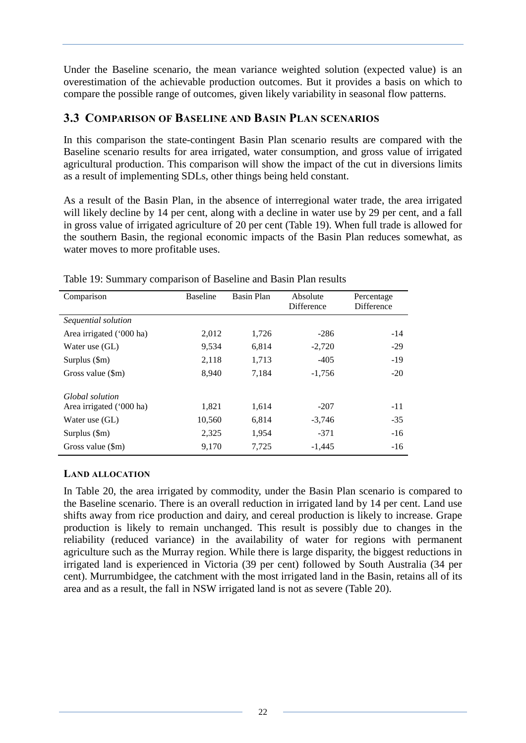Under the Baseline scenario, the mean variance weighted solution (expected value) is an overestimation of the achievable production outcomes. But it provides a basis on which to compare the possible range of outcomes, given likely variability in seasonal flow patterns.

# <span id="page-27-0"></span>**3.3 COMPARISON OF BASELINE AND BASIN PLAN SCENARIOS**

In this comparison the state-contingent Basin Plan scenario results are compared with the Baseline scenario results for area irrigated, water consumption, and gross value of irrigated agricultural production. This comparison will show the impact of the cut in diversions limits as a result of implementing SDLs, other things being held constant.

As a result of the Basin Plan, in the absence of interregional water trade, the area irrigated will likely decline by 14 per cent, along with a decline in water use by 29 per cent, and a fall in gross value of irrigated agriculture of 20 per cent (Table 19). When full trade is allowed for the southern Basin, the regional economic impacts of the Basin Plan reduces somewhat, as water moves to more profitable uses.

| Comparison                | <b>Baseline</b> | Basin Plan | Absolute<br>Difference | Percentage<br>Difference |
|---------------------------|-----------------|------------|------------------------|--------------------------|
| Sequential solution       |                 |            |                        |                          |
| Area irrigated ('000 ha)  | 2,012           | 1,726      | $-286$                 | $-14$                    |
| Water use (GL)            | 9,534           | 6,814      | $-2,720$               | $-29$                    |
| Surplus $(\text{Sm})$     | 2,118           | 1,713      | $-405$                 | $-19$                    |
| Gross value $(\text{Sm})$ | 8,940           | 7,184      | $-1,756$               | $-20$                    |
| Global solution           |                 |            |                        |                          |
| Area irrigated ('000 ha)  | 1,821           | 1,614      | $-207$                 | $-11$                    |
| Water use (GL)            | 10,560          | 6,814      | $-3.746$               | $-35$                    |
| Surplus $(\text{Sm})$     | 2,325           | 1,954      | $-371$                 | $-16$                    |
| Gross value (\$m)         | 9.170           | 7.725      | $-1.445$               | $-16$                    |

<span id="page-27-2"></span>Table 19: Summary comparison of Baseline and Basin Plan results

### <span id="page-27-1"></span>**LAND ALLOCATION**

In Table 20, the area irrigated by commodity, under the Basin Plan scenario is compared to the Baseline scenario. There is an overall reduction in irrigated land by 14 per cent. Land use shifts away from rice production and dairy, and cereal production is likely to increase. Grape production is likely to remain unchanged. This result is possibly due to changes in the reliability (reduced variance) in the availability of water for regions with permanent agriculture such as the Murray region. While there is large disparity, the biggest reductions in irrigated land is experienced in Victoria (39 per cent) followed by South Australia (34 per cent). Murrumbidgee, the catchment with the most irrigated land in the Basin, retains all of its area and as a result, the fall in NSW irrigated land is not as severe (Table 20).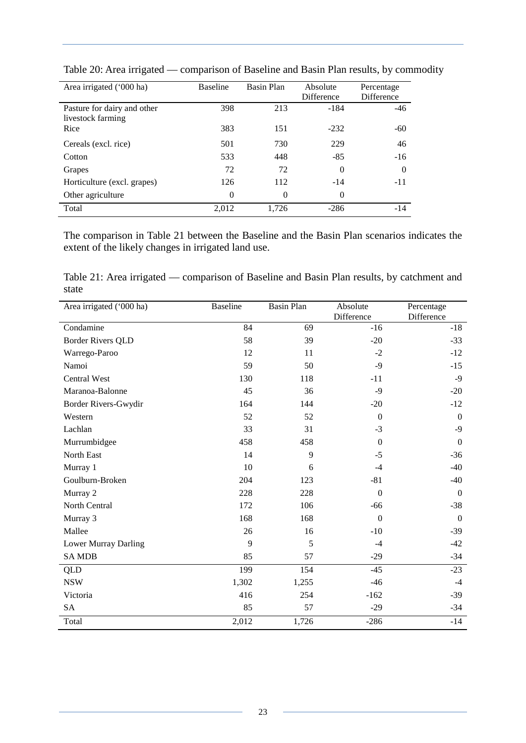| Area irrigated ('000 ha)                         | <b>Baseline</b> | <b>Basin Plan</b> | Absolute<br><b>Difference</b> | Percentage<br><b>Difference</b> |
|--------------------------------------------------|-----------------|-------------------|-------------------------------|---------------------------------|
| Pasture for dairy and other<br>livestock farming | 398             | 213               | -184                          | $-46$                           |
| Rice                                             | 383             | 151               | $-232$                        | $-60$                           |
| Cereals (excl. rice)                             | 501             | 730               | 229                           | 46                              |
| Cotton                                           | 533             | 448               | $-85$                         | $-16$                           |
| Grapes                                           | 72              | 72                | $\Omega$                      | $\Omega$                        |
| Horticulture (excl. grapes)                      | 126             | 112               | $-14$                         | $-11$                           |
| Other agriculture                                | $\theta$        | $\Omega$          | $\theta$                      |                                 |
| Total                                            | 2,012           | 1,726             | $-286$                        | $-14$                           |

<span id="page-28-0"></span>Table 20: Area irrigated — comparison of Baseline and Basin Plan results, by commodity

The comparison in Table 21 between the Baseline and the Basin Plan scenarios indicates the extent of the likely changes in irrigated land use.

<span id="page-28-1"></span>Table 21: Area irrigated — comparison of Baseline and Basin Plan results, by catchment and state

| Area irrigated ('000 ha) | <b>Baseline</b> | <b>Basin Plan</b> | Absolute     | Percentage       |
|--------------------------|-----------------|-------------------|--------------|------------------|
|                          |                 |                   | Difference   | Difference       |
| Condamine                | 84              | 69                | $-16$        | $-18$            |
| <b>Border Rivers QLD</b> | 58              | 39                | $-20$        | $-33$            |
| Warrego-Paroo            | 12              | 11                | $-2$         | $-12$            |
| Namoi                    | 59              | 50                | $-9$         | $-15$            |
| <b>Central West</b>      | 130             | 118               | $-11$        | $-9$             |
| Maranoa-Balonne          | 45              | 36                | $-9$         | $-20$            |
| Border Rivers-Gwydir     | 164             | 144               | $-20$        | $-12$            |
| Western                  | 52              | 52                | $\mathbf{0}$ | $\mathbf{0}$     |
| Lachlan                  | 33              | 31                | $-3$         | $-9$             |
| Murrumbidgee             | 458             | 458               | $\Omega$     | $\mathbf{0}$     |
| North East               | 14              | 9                 | $-5$         | $-36$            |
| Murray 1                 | 10              | 6                 | $-4$         | $-40$            |
| Goulburn-Broken          | 204             | 123               | $-81$        | $-40$            |
| Murray 2                 | 228             | 228               | $\mathbf{0}$ | $\boldsymbol{0}$ |
| North Central            | 172             | 106               | $-66$        | $-38$            |
| Murray 3                 | 168             | 168               | $\mathbf{0}$ | $\boldsymbol{0}$ |
| Mallee                   | 26              | 16                | $-10$        | $-39$            |
| Lower Murray Darling     | 9               | 5                 | $-4$         | $-42$            |
| <b>SAMDB</b>             | 85              | 57                | $-29$        | $-34$            |
| <b>QLD</b>               | 199             | 154               | $-45$        | $-23$            |
| <b>NSW</b>               | 1,302           | 1,255             | $-46$        | $-4$             |
| Victoria                 | 416             | 254               | $-162$       | $-39$            |
| <b>SA</b>                | 85              | 57                | $-29$        | $-34$            |
| Total                    | 2,012           | 1,726             | $-286$       | $-14$            |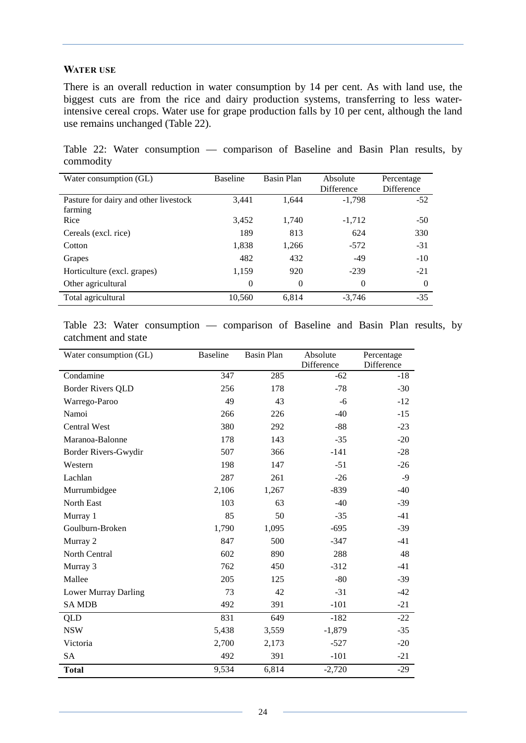#### <span id="page-29-0"></span>**WATER USE**

There is an overall reduction in water consumption by 14 per cent. As with land use, the biggest cuts are from the rice and dairy production systems, transferring to less waterintensive cereal crops. Water use for grape production falls by 10 per cent, although the land use remains unchanged (Table 22).

<span id="page-29-1"></span>Table 22: Water consumption — comparison of Baseline and Basin Plan results, by commodity

| Water consumption (GL)                | <b>Baseline</b> | Basin Plan | Absolute          | Percentage |
|---------------------------------------|-----------------|------------|-------------------|------------|
|                                       |                 |            | <b>Difference</b> | Difference |
| Pasture for dairy and other livestock | 3.441           | 1.644      | $-1,798$          | $-52$      |
| farming                               |                 |            |                   |            |
| Rice                                  | 3,452           | 1,740      | $-1,712$          | $-50$      |
| Cereals (excl. rice)                  | 189             | 813        | 624               | 330        |
| Cotton                                | 1,838           | 1,266      | $-572$            | $-31$      |
| Grapes                                | 482             | 432        | $-49$             | $-10$      |
| Horticulture (excl. grapes)           | 1,159           | 920        | $-239$            | $-21$      |
| Other agricultural                    | $\Omega$        | $\Omega$   | $\theta$          | $\Omega$   |
| Total agricultural                    | 10,560          | 6.814      | $-3,746$          | $-35$      |

<span id="page-29-2"></span>Table 23: Water consumption — comparison of Baseline and Basin Plan results, by catchment and state

| Water consumption (GL)   | <b>Baseline</b> | <b>Basin Plan</b> | Absolute   | Percentage |  |
|--------------------------|-----------------|-------------------|------------|------------|--|
|                          |                 |                   | Difference | Difference |  |
| Condamine                | 347             | 285               | $-62$      | $-18$      |  |
| <b>Border Rivers QLD</b> | 256             | 178               | $-78$      | $-30$      |  |
| Warrego-Paroo            | 49              | 43                | -6         | $-12$      |  |
| Namoi                    | 266             | 226               | $-40$      | $-15$      |  |
| <b>Central West</b>      | 380             | 292               | $-88$      | $-23$      |  |
| Maranoa-Balonne          | 178             | 143               | $-35$      | $-20$      |  |
| Border Rivers-Gwydir     | 507             | 366               | $-141$     | $-28$      |  |
| Western                  | 198             | 147               | $-51$      | $-26$      |  |
| Lachlan                  | 287             | 261               | $-26$      | $-9$       |  |
| Murrumbidgee             | 2,106           | 1,267             | $-839$     | $-40$      |  |
| North East               | 103             | 63                | $-40$      | $-39$      |  |
| Murray 1                 | 85              | 50                | $-35$      | $-41$      |  |
| Goulburn-Broken          | 1,790           | 1,095             | $-695$     | $-39$      |  |
| Murray 2                 | 847             | 500               | $-347$     | $-41$      |  |
| North Central            | 602             | 890               | 288        | 48         |  |
| Murray 3                 | 762             | 450               | $-312$     | $-41$      |  |
| Mallee                   | 205             | 125               | $-80$      | $-39$      |  |
| Lower Murray Darling     | 73              | 42                | $-31$      | $-42$      |  |
| <b>SAMDB</b>             | 492             | 391               | $-101$     | $-21$      |  |
| QLD                      | 831             | 649               | $-182$     | $-22$      |  |
| <b>NSW</b>               | 5,438           | 3,559             | $-1,879$   | $-35$      |  |
| Victoria                 | 2,700           | 2,173             | $-527$     | $-20$      |  |
| SA                       | 492             | 391               | $-101$     | $-21$      |  |
| <b>Total</b>             | 9,534           | 6,814             | $-2,720$   | $-29$      |  |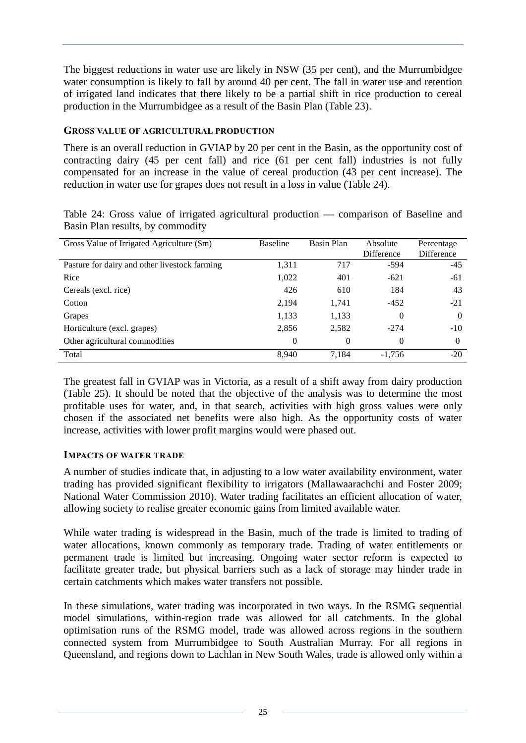The biggest reductions in water use are likely in NSW (35 per cent), and the Murrumbidgee water consumption is likely to fall by around 40 per cent. The fall in water use and retention of irrigated land indicates that there likely to be a partial shift in rice production to cereal production in the Murrumbidgee as a result of the Basin Plan (Table 23).

#### <span id="page-30-0"></span>**GROSS VALUE OF AGRICULTURAL PRODUCTION**

There is an overall reduction in GVIAP by 20 per cent in the Basin, as the opportunity cost of contracting dairy (45 per cent fall) and rice (61 per cent fall) industries is not fully compensated for an increase in the value of cereal production (43 per cent increase). The reduction in water use for grapes does not result in a loss in value (Table 24).

<span id="page-30-2"></span>

|  |  |                                  | Table 24: Gross value of irrigated agricultural production — comparison of Baseline and |  |  |
|--|--|----------------------------------|-----------------------------------------------------------------------------------------|--|--|
|  |  | Basin Plan results, by commodity |                                                                                         |  |  |

| Gross Value of Irrigated Agriculture (\$m)    | <b>Baseline</b> | Basin Plan | Absolute   | Percentage |
|-----------------------------------------------|-----------------|------------|------------|------------|
|                                               |                 |            | Difference | Difference |
| Pasture for dairy and other livestock farming | 1,311           | 717        | $-594$     | $-45$      |
| Rice                                          | 1,022           | 401        | $-621$     | $-61$      |
| Cereals (excl. rice)                          | 426             | 610        | 184        | 43         |
| Cotton                                        | 2,194           | 1,741      | $-452$     | $-21$      |
| Grapes                                        | 1,133           | 1,133      | 0          | $\Omega$   |
| Horticulture (excl. grapes)                   | 2,856           | 2,582      | $-274$     | $-10$      |
| Other agricultural commodities                | $\Omega$        | $\Omega$   | 0          | $\Omega$   |
| Total                                         | 8.940           | 7.184      | $-1.756$   | $-20$      |

The greatest fall in GVIAP was in Victoria, as a result of a shift away from dairy production (Table 25). It should be noted that the objective of the analysis was to determine the most profitable uses for water, and, in that search, activities with high gross values were only chosen if the associated net benefits were also high. As the opportunity costs of water increase, activities with lower profit margins would were phased out.

#### <span id="page-30-1"></span>**IMPACTS OF WATER TRADE**

A number of studies indicate that, in adjusting to a low water availability environment, water trading has provided significant flexibility to irrigators (Mallawaarachchi and Foster 2009; National Water Commission 2010). Water trading facilitates an efficient allocation of water, allowing society to realise greater economic gains from limited available water.

While water trading is widespread in the Basin, much of the trade is limited to trading of water allocations, known commonly as temporary trade. Trading of water entitlements or permanent trade is limited but increasing. Ongoing water sector reform is expected to facilitate greater trade, but physical barriers such as a lack of storage may hinder trade in certain catchments which makes water transfers not possible.

In these simulations, water trading was incorporated in two ways. In the RSMG sequential model simulations, within-region trade was allowed for all catchments. In the global optimisation runs of the RSMG model, trade was allowed across regions in the southern connected system from Murrumbidgee to South Australian Murray. For all regions in Queensland, and regions down to Lachlan in New South Wales, trade is allowed only within a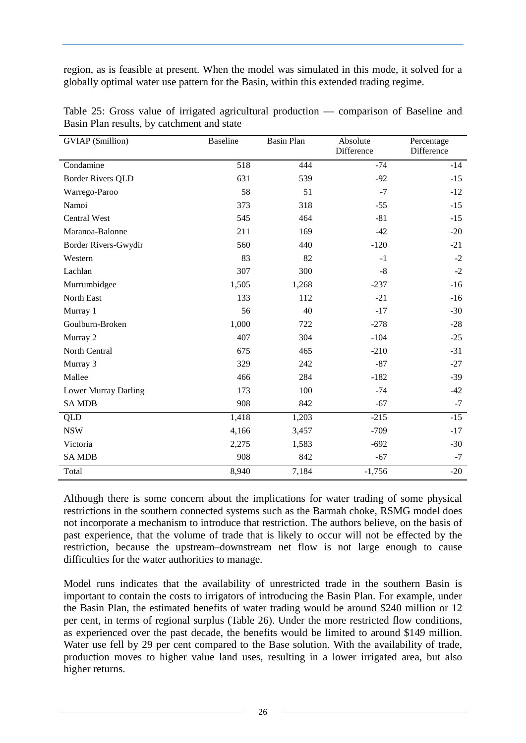region, as is feasible at present. When the model was simulated in this mode, it solved for a globally optimal water use pattern for the Basin, within this extended trading regime.

| GVIAP (\$million)        | <b>Baseline</b> | <b>Basin Plan</b> | Absolute<br>Difference | Percentage<br>Difference |
|--------------------------|-----------------|-------------------|------------------------|--------------------------|
| Condamine                | 518             | 444               | $-74$                  | $-14$                    |
| <b>Border Rivers QLD</b> | 631             | 539               | $-92$                  | $-15$                    |
| Warrego-Paroo            | 58              | 51                | $-7$                   | $-12$                    |
| Namoi                    | 373             | 318               | $-55$                  | $-15$                    |
| <b>Central West</b>      | 545             | 464               | $-81$                  | $-15$                    |
| Maranoa-Balonne          | 211             | 169               | $-42$                  | $-20$                    |
| Border Rivers-Gwydir     | 560             | 440               | $-120$                 | $-21$                    |
| Western                  | 83              | 82                | $-1$                   | $-2$                     |
| Lachlan                  | 307             | 300               | $-8$                   | $-2$                     |
| Murrumbidgee             | 1,505           | 1,268             | $-237$                 | $-16$                    |
| North East               | 133             | 112               | $-21$                  | $-16$                    |
| Murray 1                 | 56              | 40                | $-17$                  | $-30$                    |
| Goulburn-Broken          | 1,000           | 722               | $-278$                 | $-28$                    |
| Murray 2                 | 407             | 304               | $-104$                 | $-25$                    |
| North Central            | 675             | 465               | $-210$                 | $-31$                    |
| Murray 3                 | 329             | 242               | $-87$                  | $-27$                    |
| Mallee                   | 466             | 284               | $-182$                 | $-39$                    |
| Lower Murray Darling     | 173             | 100               | $-74$                  | $-42$                    |
| <b>SAMDB</b>             | 908             | 842               | $-67$                  | $-7$                     |
| <b>QLD</b>               | 1,418           | 1,203             | $-215$                 | $-15$                    |
| <b>NSW</b>               | 4,166           | 3,457             | $-709$                 | $-17$                    |
| Victoria                 | 2,275           | 1,583             | $-692$                 | $-30$                    |
| <b>SAMDB</b>             | 908             | 842               | $-67$                  | $-7$                     |
| Total                    | 8,940           | 7,184             | $-1,756$               | $-20$                    |

<span id="page-31-0"></span>Table 25: Gross value of irrigated agricultural production — comparison of Baseline and Basin Plan results, by catchment and state

Although there is some concern about the implications for water trading of some physical restrictions in the southern connected systems such as the Barmah choke, RSMG model does not incorporate a mechanism to introduce that restriction. The authors believe, on the basis of past experience, that the volume of trade that is likely to occur will not be effected by the restriction, because the upstream–downstream net flow is not large enough to cause difficulties for the water authorities to manage.

Model runs indicates that the availability of unrestricted trade in the southern Basin is important to contain the costs to irrigators of introducing the Basin Plan. For example, under the Basin Plan, the estimated benefits of water trading would be around \$240 million or 12 per cent, in terms of regional surplus (Table 26). Under the more restricted flow conditions, as experienced over the past decade, the benefits would be limited to around \$149 million. Water use fell by 29 per cent compared to the Base solution. With the availability of trade, production moves to higher value land uses, resulting in a lower irrigated area, but also higher returns.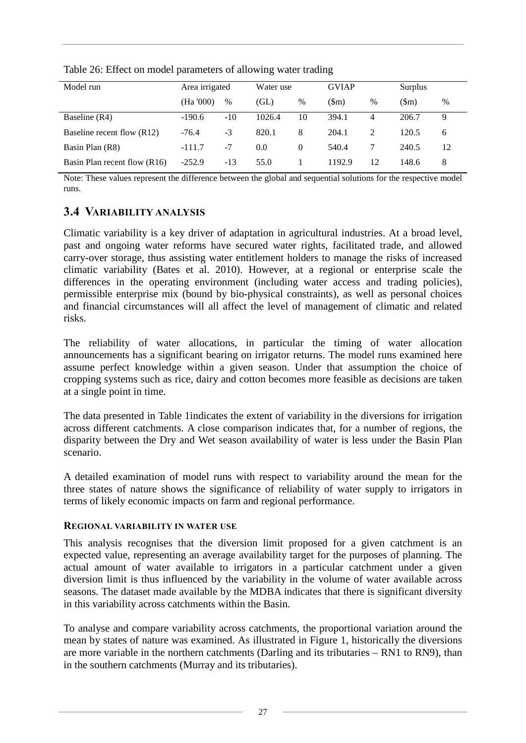| Model run                    | Area irrigated |       | Water use |          | <b>GVIAP</b> |    | Surplus          |      |
|------------------------------|----------------|-------|-----------|----------|--------------|----|------------------|------|
|                              | (Ha '000)      | $\%$  | (GL)      | %        | (Sm)         | %  | $(\mathbb{S}_m)$ | $\%$ |
| Baseline (R4)                | $-190.6$       | $-10$ | 1026.4    | 10       | 394.1        | 4  | 206.7            | 9    |
| Baseline recent flow (R12)   | $-76.4$        | $-3$  | 820.1     | 8        | 204.1        | 2  | 120.5            | 6    |
| Basin Plan (R8)              | $-111.7$       | -7    | 0.0       | $\Omega$ | 540.4        |    | 240.5            | 12   |
| Basin Plan recent flow (R16) | $-252.9$       | $-13$ | 55.0      |          | 1192.9       | 12 | 148.6            | 8    |

<span id="page-32-2"></span>Table 26: Effect on model parameters of allowing water trading

Note: These values represent the difference between the global and sequential solutions for the respective model runs.

# <span id="page-32-0"></span>**3.4 VARIABILITY ANALYSIS**

Climatic variability is a key driver of adaptation in agricultural industries. At a broad level, past and ongoing water reforms have secured water rights, facilitated trade, and allowed carry-over storage, thus assisting water entitlement holders to manage the risks of increased climatic variability (Bates et al. 2010). However, at a regional or enterprise scale the differences in the operating environment (including water access and trading policies), permissible enterprise mix (bound by bio-physical constraints), as well as personal choices and financial circumstances will all affect the level of management of climatic and related risks.

The reliability of water allocations, in particular the timing of water allocation announcements has a significant bearing on irrigator returns. The model runs examined here assume perfect knowledge within a given season. Under that assumption the choice of cropping systems such as rice, dairy and cotton becomes more feasible as decisions are taken at a single point in time.

The data presented in [Table 1i](#page-13-0)ndicates the extent of variability in the diversions for irrigation across different catchments. A close comparison indicates that, for a number of regions, the disparity between the Dry and Wet season availability of water is less under the Basin Plan scenario.

A detailed examination of model runs with respect to variability around the mean for the three states of nature shows the significance of reliability of water supply to irrigators in terms of likely economic impacts on farm and regional performance.

#### <span id="page-32-1"></span>**REGIONAL VARIABILITY IN WATER USE**

This analysis recognises that the diversion limit proposed for a given catchment is an expected value, representing an average availability target for the purposes of planning. The actual amount of water available to irrigators in a particular catchment under a given diversion limit is thus influenced by the variability in the volume of water available across seasons. The dataset made available by the MDBA indicates that there is significant diversity in this variability across catchments within the Basin.

To analyse and compare variability across catchments, the proportional variation around the mean by states of nature was examined. As illustrated in Figure 1, historically the diversions are more variable in the northern catchments (Darling and its tributaries – RN1 to RN9), than in the southern catchments (Murray and its tributaries).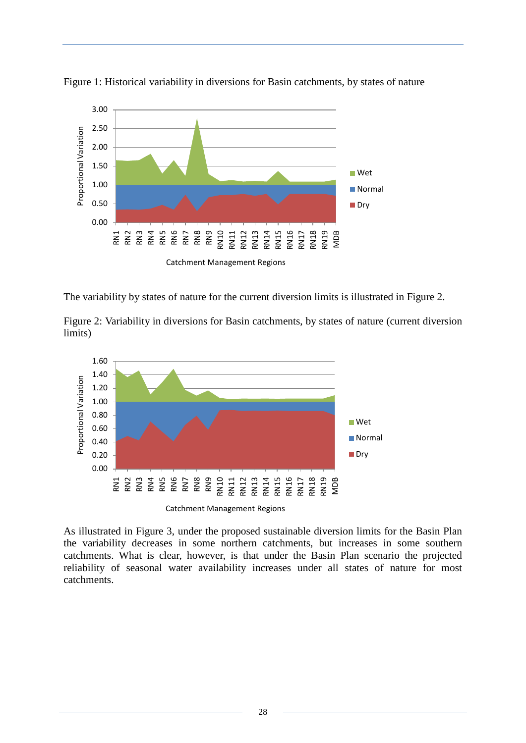

<span id="page-33-0"></span>Figure 1: Historical variability in diversions for Basin catchments, by states of nature

The variability by states of nature for the current diversion limits is illustrated in Figure 2.

<span id="page-33-1"></span>Figure 2: Variability in diversions for Basin catchments, by states of nature (current diversion limits)



As illustrated in Figure 3, under the proposed sustainable diversion limits for the Basin Plan the variability decreases in some northern catchments, but increases in some southern catchments. What is clear, however, is that under the Basin Plan scenario the projected reliability of seasonal water availability increases under all states of nature for most catchments.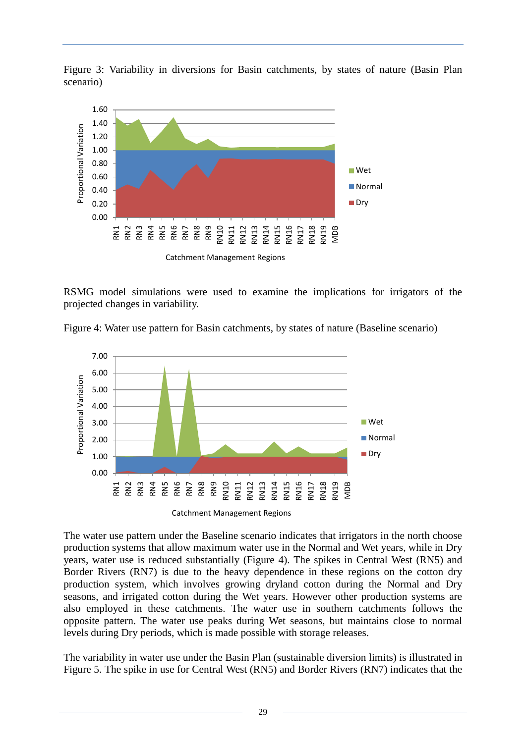<span id="page-34-0"></span>Figure 3: Variability in diversions for Basin catchments, by states of nature (Basin Plan scenario)



RSMG model simulations were used to examine the implications for irrigators of the projected changes in variability.

<span id="page-34-1"></span>



Catchment Management Regions

The water use pattern under the Baseline scenario indicates that irrigators in the north choose production systems that allow maximum water use in the Normal and Wet years, while in Dry years, water use is reduced substantially (Figure 4). The spikes in Central West (RN5) and Border Rivers (RN7) is due to the heavy dependence in these regions on the cotton dry production system, which involves growing dryland cotton during the Normal and Dry seasons, and irrigated cotton during the Wet years. However other production systems are also employed in these catchments. The water use in southern catchments follows the opposite pattern. The water use peaks during Wet seasons, but maintains close to normal levels during Dry periods, which is made possible with storage releases.

The variability in water use under the Basin Plan (sustainable diversion limits) is illustrated in Figure 5. The spike in use for Central West (RN5) and Border Rivers (RN7) indicates that the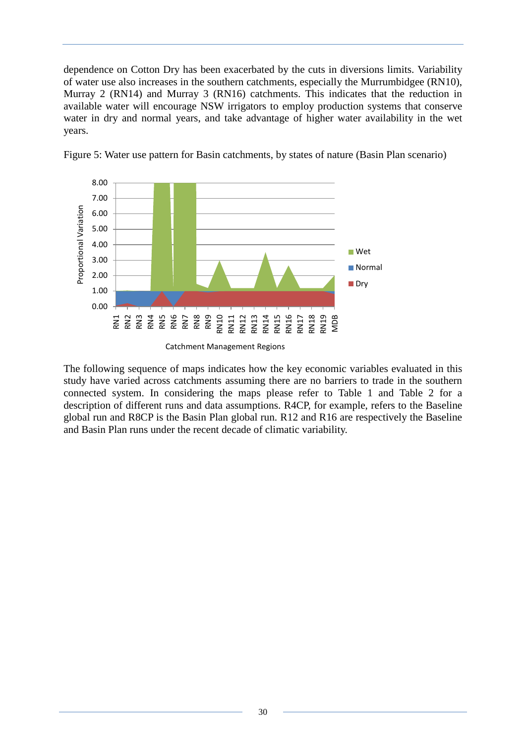dependence on Cotton Dry has been exacerbated by the cuts in diversions limits. Variability of water use also increases in the southern catchments, especially the Murrumbidgee (RN10), Murray 2 (RN14) and Murray 3 (RN16) catchments. This indicates that the reduction in available water will encourage NSW irrigators to employ production systems that conserve water in dry and normal years, and take advantage of higher water availability in the wet years.



<span id="page-35-0"></span>Figure 5: Water use pattern for Basin catchments, by states of nature (Basin Plan scenario)

The following sequence of maps indicates how the key economic variables evaluated in this study have varied across catchments assuming there are no barriers to trade in the southern connected system. In considering the maps please refer to Table 1 and Table 2 for a description of different runs and data assumptions. R4CP, for example, refers to the Baseline global run and R8CP is the Basin Plan global run. R12 and R16 are respectively the Baseline and Basin Plan runs under the recent decade of climatic variability.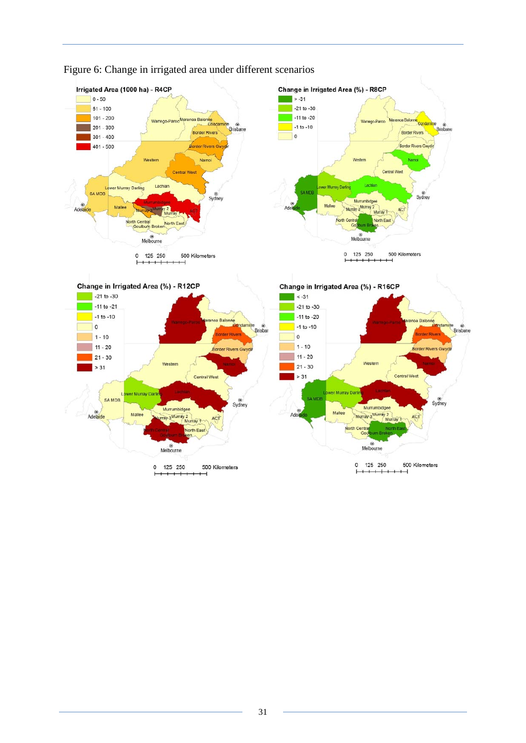

### <span id="page-36-0"></span>Figure 6: Change in irrigated area under different scenarios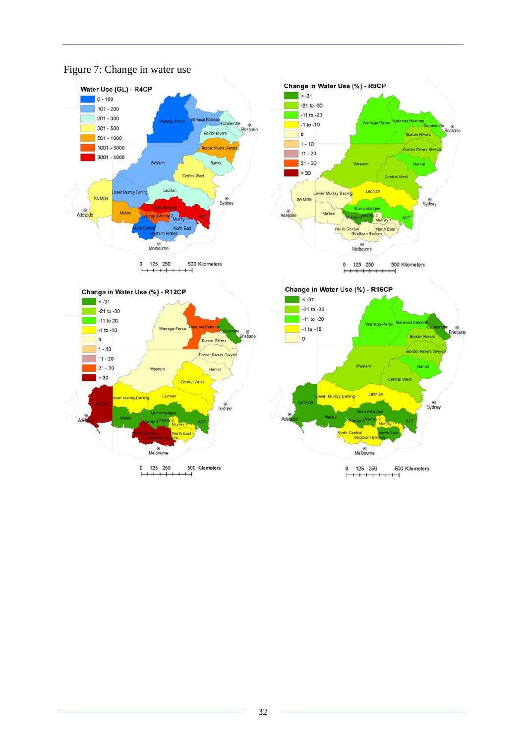

### <span id="page-37-0"></span>Figure 7: Change in water use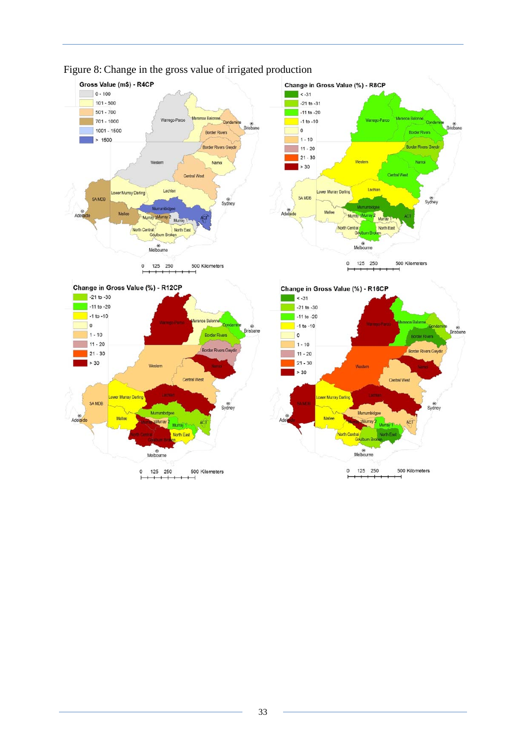

**Central West** 

ACT

500 Kilometers

 $rac{6}{\text{Sydney}}$ 

Murray Dartin

**Mall** 

Ad

Murrumbidger

North Central<br>Goulbum B

ł

Melbourne

 $0$  125 250

aMurray 2

### <span id="page-38-0"></span>Figure 8: Change in the gross value of irrigated production

**Central West** 

500 Kilometers

Sydney

wer Murray Darling

Mallee

Mumumbidi

Melbourne

 $\mathsf{o}$ 

125 250

aMurray 2

Murray 1

North East

SA MDB

Adelaide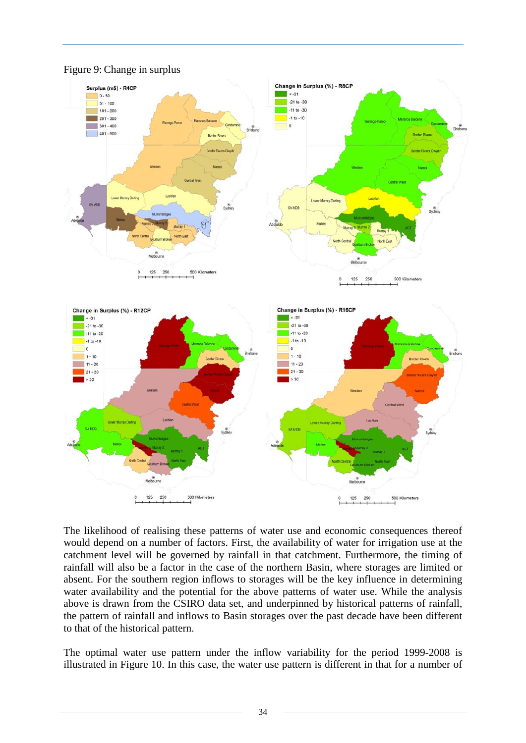

#### <span id="page-39-0"></span>Figure 9: Change in surplus

The likelihood of realising these patterns of water use and economic consequences thereof would depend on a number of factors. First, the availability of water for irrigation use at the catchment level will be governed by rainfall in that catchment. Furthermore, the timing of rainfall will also be a factor in the case of the northern Basin, where storages are limited or absent. For the southern region inflows to storages will be the key influence in determining water availability and the potential for the above patterns of water use. While the analysis above is drawn from the CSIRO data set, and underpinned by historical patterns of rainfall, the pattern of rainfall and inflows to Basin storages over the past decade have been different to that of the historical pattern.

The optimal water use pattern under the inflow variability for the period 1999-2008 is illustrated in Figure 10. In this case, the water use pattern is different in that for a number of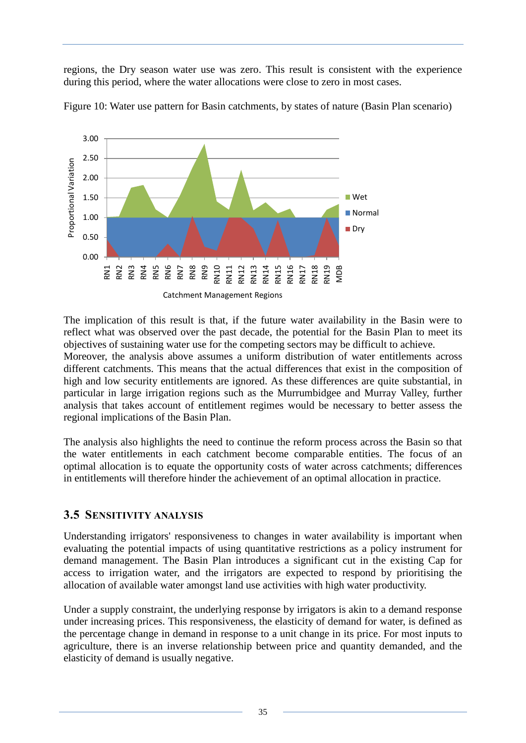regions, the Dry season water use was zero. This result is consistent with the experience during this period, where the water allocations were close to zero in most cases.



<span id="page-40-1"></span>Figure 10: Water use pattern for Basin catchments, by states of nature (Basin Plan scenario)

The implication of this result is that, if the future water availability in the Basin were to reflect what was observed over the past decade, the potential for the Basin Plan to meet its objectives of sustaining water use for the competing sectors may be difficult to achieve.

Moreover, the analysis above assumes a uniform distribution of water entitlements across different catchments. This means that the actual differences that exist in the composition of high and low security entitlements are ignored. As these differences are quite substantial, in particular in large irrigation regions such as the Murrumbidgee and Murray Valley, further analysis that takes account of entitlement regimes would be necessary to better assess the regional implications of the Basin Plan.

The analysis also highlights the need to continue the reform process across the Basin so that the water entitlements in each catchment become comparable entities. The focus of an optimal allocation is to equate the opportunity costs of water across catchments; differences in entitlements will therefore hinder the achievement of an optimal allocation in practice.

### <span id="page-40-0"></span>**3.5 SENSITIVITY ANALYSIS**

Understanding irrigators' responsiveness to changes in water availability is important when evaluating the potential impacts of using quantitative restrictions as a policy instrument for demand management. The Basin Plan introduces a significant cut in the existing Cap for access to irrigation water, and the irrigators are expected to respond by prioritising the allocation of available water amongst land use activities with high water productivity.

Under a supply constraint, the underlying response by irrigators is akin to a demand response under increasing prices. This responsiveness, the elasticity of demand for water, is defined as the percentage change in demand in response to a unit change in its price. For most inputs to agriculture, there is an inverse relationship between price and quantity demanded, and the elasticity of demand is usually negative.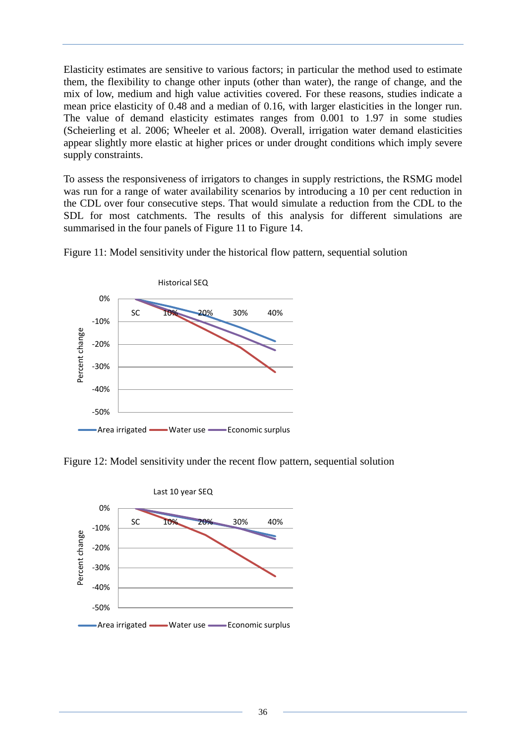Elasticity estimates are sensitive to various factors; in particular the method used to estimate them, the flexibility to change other inputs (other than water), the range of change, and the mix of low, medium and high value activities covered. For these reasons, studies indicate a mean price elasticity of 0.48 and a median of 0.16, with larger elasticities in the longer run. The value of demand elasticity estimates ranges from 0.001 to 1.97 in some studies [\(Scheierling et al. 2006;](http://www3.interscience.wiley.com/cgi-bin/fulltext/119417900/main.html,ftx_abs#b8) Wheeler et al. 2008). Overall, irrigation water demand elasticities appear slightly more elastic at higher prices or under drought conditions which imply severe supply constraints.

To assess the responsiveness of irrigators to changes in supply restrictions, the RSMG model was run for a range of water availability scenarios by introducing a 10 per cent reduction in the CDL over four consecutive steps. That would simulate a reduction from the CDL to the SDL for most catchments. The results of this analysis for different simulations are summarised in the four panels of Figure 11 to Figure 14.



<span id="page-41-0"></span>Figure 11: Model sensitivity under the historical flow pattern, sequential solution

<span id="page-41-1"></span>

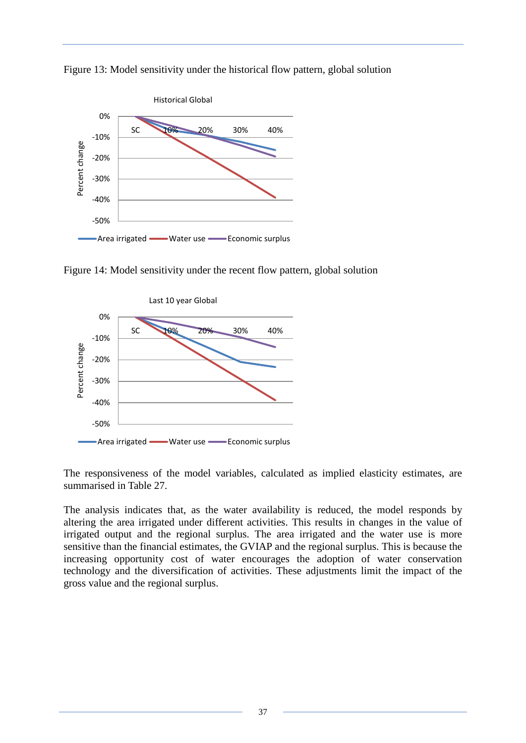

<span id="page-42-0"></span>Figure 13: Model sensitivity under the historical flow pattern, global solution

<span id="page-42-1"></span>Figure 14: Model sensitivity under the recent flow pattern, global solution



The responsiveness of the model variables, calculated as implied elasticity estimates, are summarised in Table 27.

The analysis indicates that, as the water availability is reduced, the model responds by altering the area irrigated under different activities. This results in changes in the value of irrigated output and the regional surplus. The area irrigated and the water use is more sensitive than the financial estimates, the GVIAP and the regional surplus. This is because the increasing opportunity cost of water encourages the adoption of water conservation technology and the diversification of activities. These adjustments limit the impact of the gross value and the regional surplus.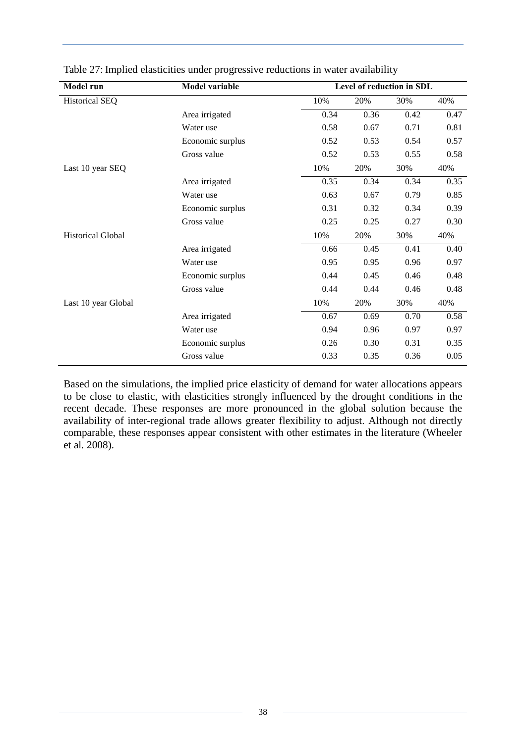| <b>Model run</b>         | <b>Model variable</b> |      |      | Level of reduction in SDL |      |
|--------------------------|-----------------------|------|------|---------------------------|------|
| <b>Historical SEQ</b>    |                       | 10%  | 20%  | 30%                       | 40%  |
|                          | Area irrigated        | 0.34 | 0.36 | 0.42                      | 0.47 |
|                          | Water use             | 0.58 | 0.67 | 0.71                      | 0.81 |
|                          | Economic surplus      | 0.52 | 0.53 | 0.54                      | 0.57 |
|                          | Gross value           | 0.52 | 0.53 | 0.55                      | 0.58 |
| Last 10 year SEQ         |                       | 10%  | 20%  | 30%                       | 40%  |
|                          | Area irrigated        | 0.35 | 0.34 | 0.34                      | 0.35 |
|                          | Water use             | 0.63 | 0.67 | 0.79                      | 0.85 |
|                          | Economic surplus      | 0.31 | 0.32 | 0.34                      | 0.39 |
|                          | Gross value           | 0.25 | 0.25 | 0.27                      | 0.30 |
| <b>Historical Global</b> |                       | 10%  | 20%  | 30%                       | 40%  |
|                          | Area irrigated        | 0.66 | 0.45 | 0.41                      | 0.40 |
|                          | Water use             | 0.95 | 0.95 | 0.96                      | 0.97 |
|                          | Economic surplus      | 0.44 | 0.45 | 0.46                      | 0.48 |
|                          | Gross value           | 0.44 | 0.44 | 0.46                      | 0.48 |
| Last 10 year Global      |                       | 10%  | 20%  | 30%                       | 40%  |
|                          | Area irrigated        | 0.67 | 0.69 | 0.70                      | 0.58 |
|                          | Water use             | 0.94 | 0.96 | 0.97                      | 0.97 |
|                          | Economic surplus      | 0.26 | 0.30 | 0.31                      | 0.35 |
|                          | Gross value           | 0.33 | 0.35 | 0.36                      | 0.05 |

<span id="page-43-0"></span>Table 27: Implied elasticities under progressive reductions in water availability

Based on the simulations, the implied price elasticity of demand for water allocations appears to be close to elastic, with elasticities strongly influenced by the drought conditions in the recent decade. These responses are more pronounced in the global solution because the availability of inter-regional trade allows greater flexibility to adjust. Although not directly comparable, these responses appear consistent with other estimates in the literature (Wheeler et al*.* 2008).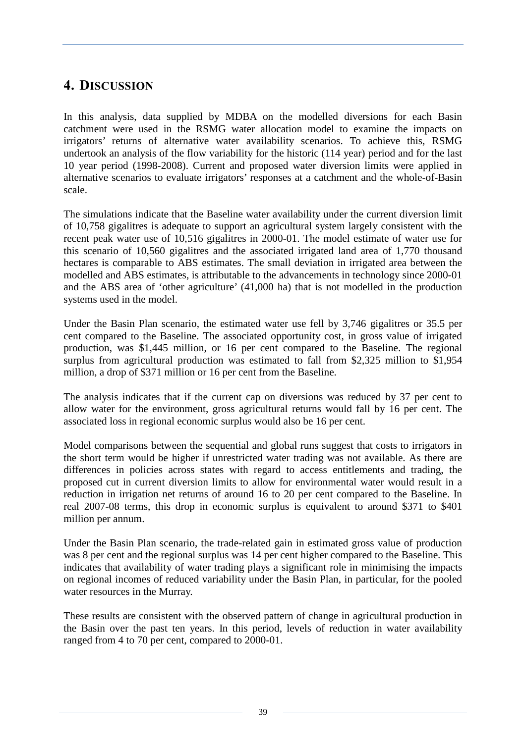# <span id="page-44-0"></span>**4. DISCUSSION**

In this analysis, data supplied by MDBA on the modelled diversions for each Basin catchment were used in the RSMG water allocation model to examine the impacts on irrigators' returns of alternative water availability scenarios. To achieve this, RSMG undertook an analysis of the flow variability for the historic (114 year) period and for the last 10 year period (1998-2008). Current and proposed water diversion limits were applied in alternative scenarios to evaluate irrigators' responses at a catchment and the whole-of-Basin scale.

The simulations indicate that the Baseline water availability under the current diversion limit of 10,758 gigalitres is adequate to support an agricultural system largely consistent with the recent peak water use of 10,516 gigalitres in 2000-01. The model estimate of water use for this scenario of 10,560 gigalitres and the associated irrigated land area of 1,770 thousand hectares is comparable to ABS estimates. The small deviation in irrigated area between the modelled and ABS estimates, is attributable to the advancements in technology since 2000-01 and the ABS area of 'other agriculture' (41,000 ha) that is not modelled in the production systems used in the model.

Under the Basin Plan scenario, the estimated water use fell by 3,746 gigalitres or 35.5 per cent compared to the Baseline. The associated opportunity cost, in gross value of irrigated production, was \$1,445 million, or 16 per cent compared to the Baseline. The regional surplus from agricultural production was estimated to fall from \$2,325 million to \$1,954 million, a drop of \$371 million or 16 per cent from the Baseline.

The analysis indicates that if the current cap on diversions was reduced by 37 per cent to allow water for the environment, gross agricultural returns would fall by 16 per cent. The associated loss in regional economic surplus would also be 16 per cent.

Model comparisons between the sequential and global runs suggest that costs to irrigators in the short term would be higher if unrestricted water trading was not available. As there are differences in policies across states with regard to access entitlements and trading, the proposed cut in current diversion limits to allow for environmental water would result in a reduction in irrigation net returns of around 16 to 20 per cent compared to the Baseline. In real 2007-08 terms, this drop in economic surplus is equivalent to around \$371 to \$401 million per annum.

Under the Basin Plan scenario, the trade-related gain in estimated gross value of production was 8 per cent and the regional surplus was 14 per cent higher compared to the Baseline. This indicates that availability of water trading plays a significant role in minimising the impacts on regional incomes of reduced variability under the Basin Plan, in particular, for the pooled water resources in the Murray.

These results are consistent with the observed pattern of change in agricultural production in the Basin over the past ten years. In this period, levels of reduction in water availability ranged from 4 to 70 per cent, compared to 2000-01.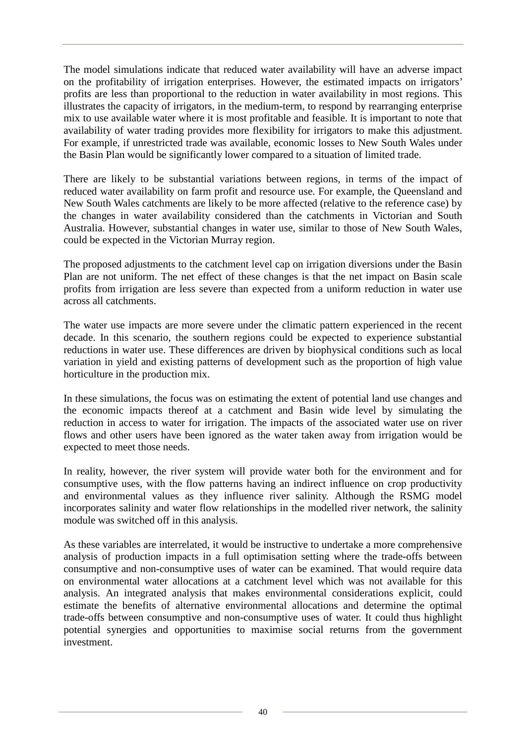The model simulations indicate that reduced water availability will have an adverse impact on the profitability of irrigation enterprises. However, the estimated impacts on irrigators' profits are less than proportional to the reduction in water availability in most regions. This illustrates the capacity of irrigators, in the medium-term, to respond by rearranging enterprise mix to use available water where it is most profitable and feasible. It is important to note that availability of water trading provides more flexibility for irrigators to make this adjustment. For example, if unrestricted trade was available, economic losses to New South Wales under the Basin Plan would be significantly lower compared to a situation of limited trade.

There are likely to be substantial variations between regions, in terms of the impact of reduced water availability on farm profit and resource use. For example, the Queensland and New South Wales catchments are likely to be more affected (relative to the reference case) by the changes in water availability considered than the catchments in Victorian and South Australia. However, substantial changes in water use, similar to those of New South Wales, could be expected in the Victorian Murray region.

The proposed adjustments to the catchment level cap on irrigation diversions under the Basin Plan are not uniform. The net effect of these changes is that the net impact on Basin scale profits from irrigation are less severe than expected from a uniform reduction in water use across all catchments.

The water use impacts are more severe under the climatic pattern experienced in the recent decade. In this scenario, the southern regions could be expected to experience substantial reductions in water use. These differences are driven by biophysical conditions such as local variation in yield and existing patterns of development such as the proportion of high value horticulture in the production mix.

In these simulations, the focus was on estimating the extent of potential land use changes and the economic impacts thereof at a catchment and Basin wide level by simulating the reduction in access to water for irrigation. The impacts of the associated water use on river flows and other users have been ignored as the water taken away from irrigation would be expected to meet those needs.

In reality, however, the river system will provide water both for the environment and for consumptive uses, with the flow patterns having an indirect influence on crop productivity and environmental values as they influence river salinity. Although the RSMG model incorporates salinity and water flow relationships in the modelled river network, the salinity module was switched off in this analysis.

As these variables are interrelated, it would be instructive to undertake a more comprehensive analysis of production impacts in a full optimisation setting where the trade-offs between consumptive and non-consumptive uses of water can be examined. That would require data on environmental water allocations at a catchment level which was not available for this analysis. An integrated analysis that makes environmental considerations explicit, could estimate the benefits of alternative environmental allocations and determine the optimal trade-offs between consumptive and non-consumptive uses of water. It could thus highlight potential synergies and opportunities to maximise social returns from the government investment.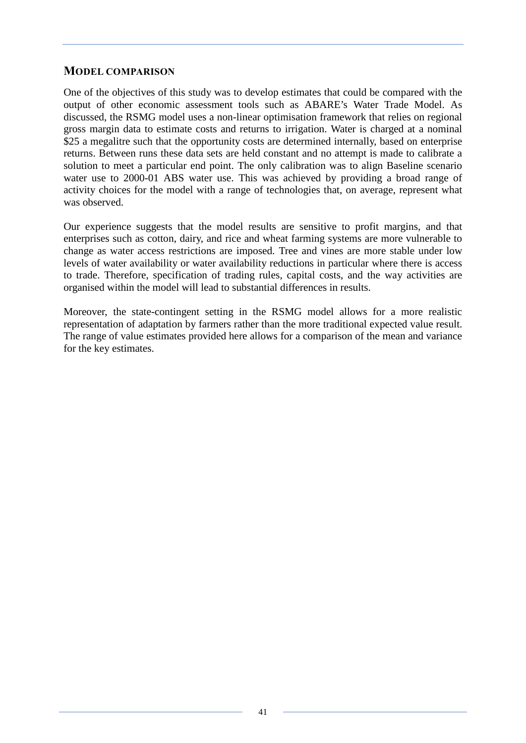### <span id="page-46-0"></span>**MODEL COMPARISON**

One of the objectives of this study was to develop estimates that could be compared with the output of other economic assessment tools such as ABARE's Water Trade Model. As discussed, the RSMG model uses a non-linear optimisation framework that relies on regional gross margin data to estimate costs and returns to irrigation. Water is charged at a nominal \$25 a megalitre such that the opportunity costs are determined internally, based on enterprise returns. Between runs these data sets are held constant and no attempt is made to calibrate a solution to meet a particular end point. The only calibration was to align Baseline scenario water use to 2000-01 ABS water use. This was achieved by providing a broad range of activity choices for the model with a range of technologies that, on average, represent what was observed.

Our experience suggests that the model results are sensitive to profit margins, and that enterprises such as cotton, dairy, and rice and wheat farming systems are more vulnerable to change as water access restrictions are imposed. Tree and vines are more stable under low levels of water availability or water availability reductions in particular where there is access to trade. Therefore, specification of trading rules, capital costs, and the way activities are organised within the model will lead to substantial differences in results.

Moreover, the state-contingent setting in the RSMG model allows for a more realistic representation of adaptation by farmers rather than the more traditional expected value result. The range of value estimates provided here allows for a comparison of the mean and variance for the key estimates.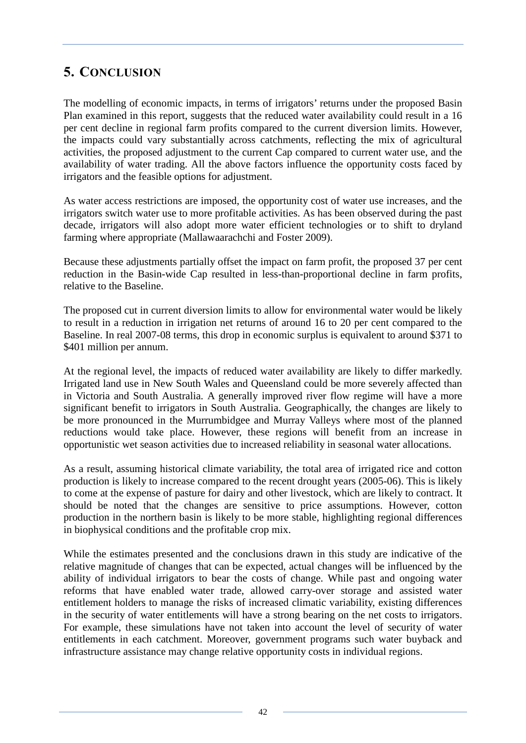# <span id="page-47-0"></span>**5. CONCLUSION**

The modelling of economic impacts, in terms of irrigators' returns under the proposed Basin Plan examined in this report, suggests that the reduced water availability could result in a 16 per cent decline in regional farm profits compared to the current diversion limits. However, the impacts could vary substantially across catchments, reflecting the mix of agricultural activities, the proposed adjustment to the current Cap compared to current water use, and the availability of water trading. All the above factors influence the opportunity costs faced by irrigators and the feasible options for adjustment.

As water access restrictions are imposed, the opportunity cost of water use increases, and the irrigators switch water use to more profitable activities. As has been observed during the past decade, irrigators will also adopt more water efficient technologies or to shift to dryland farming where appropriate (Mallawaarachchi and Foster 2009).

Because these adjustments partially offset the impact on farm profit, the proposed 37 per cent reduction in the Basin-wide Cap resulted in less-than-proportional decline in farm profits, relative to the Baseline.

The proposed cut in current diversion limits to allow for environmental water would be likely to result in a reduction in irrigation net returns of around 16 to 20 per cent compared to the Baseline. In real 2007-08 terms, this drop in economic surplus is equivalent to around \$371 to \$401 million per annum.

At the regional level, the impacts of reduced water availability are likely to differ markedly. Irrigated land use in New South Wales and Queensland could be more severely affected than in Victoria and South Australia. A generally improved river flow regime will have a more significant benefit to irrigators in South Australia. Geographically, the changes are likely to be more pronounced in the Murrumbidgee and Murray Valleys where most of the planned reductions would take place. However, these regions will benefit from an increase in opportunistic wet season activities due to increased reliability in seasonal water allocations.

As a result, assuming historical climate variability, the total area of irrigated rice and cotton production is likely to increase compared to the recent drought years (2005-06). This is likely to come at the expense of pasture for dairy and other livestock, which are likely to contract. It should be noted that the changes are sensitive to price assumptions. However, cotton production in the northern basin is likely to be more stable, highlighting regional differences in biophysical conditions and the profitable crop mix.

While the estimates presented and the conclusions drawn in this study are indicative of the relative magnitude of changes that can be expected, actual changes will be influenced by the ability of individual irrigators to bear the costs of change. While past and ongoing water reforms that have enabled water trade, allowed carry-over storage and assisted water entitlement holders to manage the risks of increased climatic variability, existing differences in the security of water entitlements will have a strong bearing on the net costs to irrigators. For example, these simulations have not taken into account the level of security of water entitlements in each catchment. Moreover, government programs such water buyback and infrastructure assistance may change relative opportunity costs in individual regions.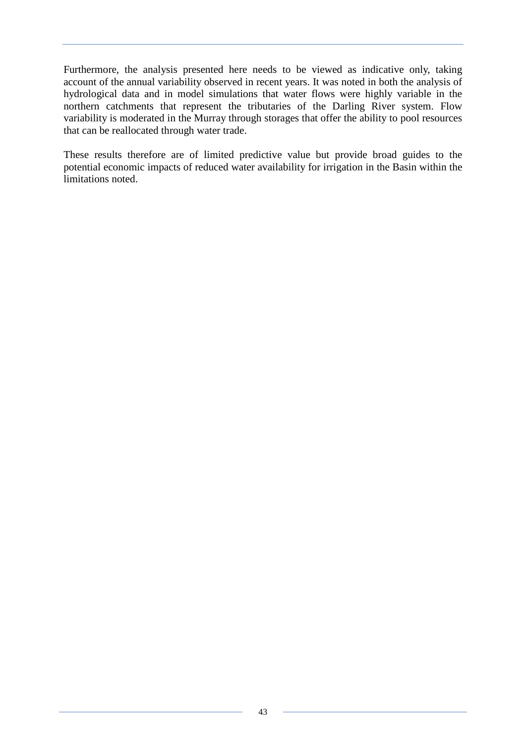Furthermore, the analysis presented here needs to be viewed as indicative only, taking account of the annual variability observed in recent years. It was noted in both the analysis of hydrological data and in model simulations that water flows were highly variable in the northern catchments that represent the tributaries of the Darling River system. Flow variability is moderated in the Murray through storages that offer the ability to pool resources that can be reallocated through water trade.

These results therefore are of limited predictive value but provide broad guides to the potential economic impacts of reduced water availability for irrigation in the Basin within the limitations noted.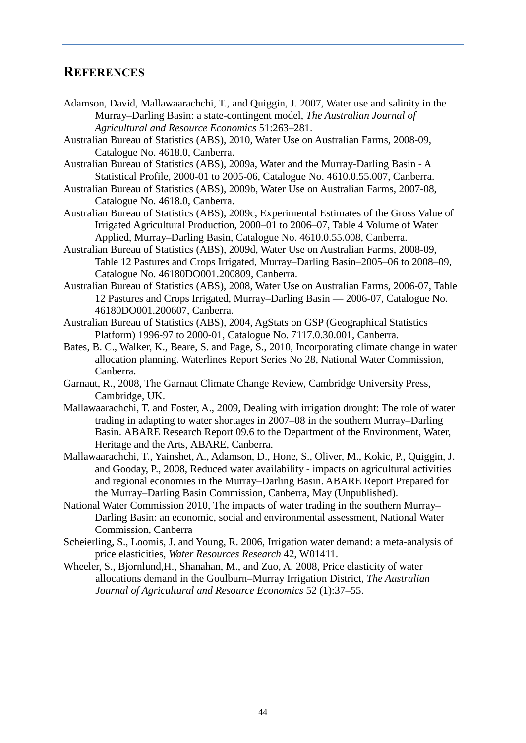# <span id="page-49-0"></span>**REFERENCES**

- Adamson, David, Mallawaarachchi, T., and Quiggin, J. 2007, Water use and salinity in the Murray–Darling Basin: a state-contingent model, *The Australian Journal of Agricultural and Resource Economics* 51:263–281.
- Australian Bureau of Statistics (ABS), 2010, Water Use on Australian Farms, 2008-09, Catalogue No. 4618.0, Canberra.
- Australian Bureau of Statistics (ABS), 2009a, Water and the Murray-Darling Basin A Statistical Profile, 2000-01 to 2005-06, Catalogue No. 4610.0.55.007, Canberra.
- Australian Bureau of Statistics (ABS), 2009b, Water Use on Australian Farms, 2007-08, Catalogue No. 4618.0, Canberra.
- Australian Bureau of Statistics (ABS), 2009c, Experimental Estimates of the Gross Value of Irrigated Agricultural Production, 2000–01 to 2006–07, Table 4 Volume of Water Applied, Murray–Darling Basin, Catalogue No. 4610.0.55.008, Canberra.
- Australian Bureau of Statistics (ABS), 2009d, Water Use on Australian Farms, 2008-09, Table 12 Pastures and Crops Irrigated, Murray–Darling Basin–2005–06 to 2008–09, Catalogue No. 46180DO001.200809, Canberra.
- Australian Bureau of Statistics (ABS), 2008, Water Use on Australian Farms, 2006-07, Table 12 Pastures and Crops Irrigated, Murray–Darling Basin — 2006-07, Catalogue No. 46180DO001.200607, Canberra.
- Australian Bureau of Statistics (ABS), 2004, AgStats on GSP (Geographical Statistics Platform) 1996-97 to 2000-01, Catalogue No. 7117.0.30.001, Canberra.
- Bates, B. C., Walker, K., Beare, S. and Page, S., 2010, Incorporating climate change in water allocation planning. Waterlines Report Series No 28, National Water Commission, Canberra.
- Garnaut, R., 2008, The Garnaut Climate Change Review, Cambridge University Press, Cambridge, UK.
- Mallawaarachchi, T. and Foster, A., 2009, Dealing with irrigation drought: The role of water trading in adapting to water shortages in 2007–08 in the southern Murray–Darling Basin. ABARE Research Report 09.6 to the Department of the Environment, Water, Heritage and the Arts, ABARE, Canberra.
- Mallawaarachchi, T., Yainshet, A., Adamson, D., Hone, S., Oliver, M., Kokic, P., Quiggin, J. and Gooday, P., 2008, Reduced water availability - impacts on agricultural activities and regional economies in the Murray–Darling Basin. ABARE Report Prepared for the Murray–Darling Basin Commission, Canberra, May (Unpublished).
- National Water Commission 2010, The impacts of water trading in the southern Murray– Darling Basin: an economic, social and environmental assessment, National Water Commission, Canberra
- Scheierling, S., Loomis, J. and Young, R. 2006, Irrigation water demand: a meta-analysis of price elasticities, *Water Resources Research* 42, W01411.
- Wheeler, S., Bjornlund,H., Shanahan, M., and Zuo, A. 2008, Price elasticity of water allocations demand in the Goulburn–Murray Irrigation District, *The Australian Journal of Agricultural and Resource Economics* 52 (1):37–55.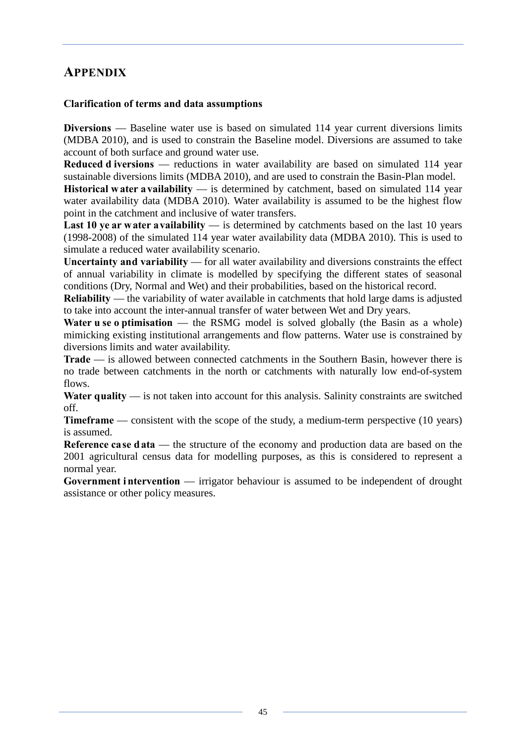# <span id="page-50-0"></span>**APPENDIX**

### **Clarification of terms and data assumptions**

**Diversions** — Baseline water use is based on simulated 114 year current diversions limits (MDBA 2010), and is used to constrain the Baseline model. Diversions are assumed to take account of both surface and ground water use.

**Reduced d iversions** — reductions in water availability are based on simulated 114 year sustainable diversions limits (MDBA 2010), and are used to constrain the Basin-Plan model.

**Historical w ater a vailability** — is determined by catchment, based on simulated 114 year water availability data (MDBA 2010). Water availability is assumed to be the highest flow point in the catchment and inclusive of water transfers.

**Last 10 ye ar water availability** — is determined by catchments based on the last 10 years (1998-2008) of the simulated 114 year water availability data (MDBA 2010). This is used to simulate a reduced water availability scenario.

**Uncertainty and variability** — for all water availability and diversions constraints the effect of annual variability in climate is modelled by specifying the different states of seasonal conditions (Dry, Normal and Wet) and their probabilities, based on the historical record.

**Reliability** — the variability of water available in catchments that hold large dams is adjusted to take into account the inter-annual transfer of water between Wet and Dry years.

**Water u se o ptimisation** — the RSMG model is solved globally (the Basin as a whole) mimicking existing institutional arrangements and flow patterns. Water use is constrained by diversions limits and water availability.

**Trade** — is allowed between connected catchments in the Southern Basin, however there is no trade between catchments in the north or catchments with naturally low end-of-system flows.

**Water quality** — is not taken into account for this analysis. Salinity constraints are switched off.

**Timeframe** — consistent with the scope of the study, a medium-term perspective (10 years) is assumed.

**Reference case data** — the structure of the economy and production data are based on the 2001 agricultural census data for modelling purposes, as this is considered to represent a normal year.

Government intervention — irrigator behaviour is assumed to be independent of drought assistance or other policy measures.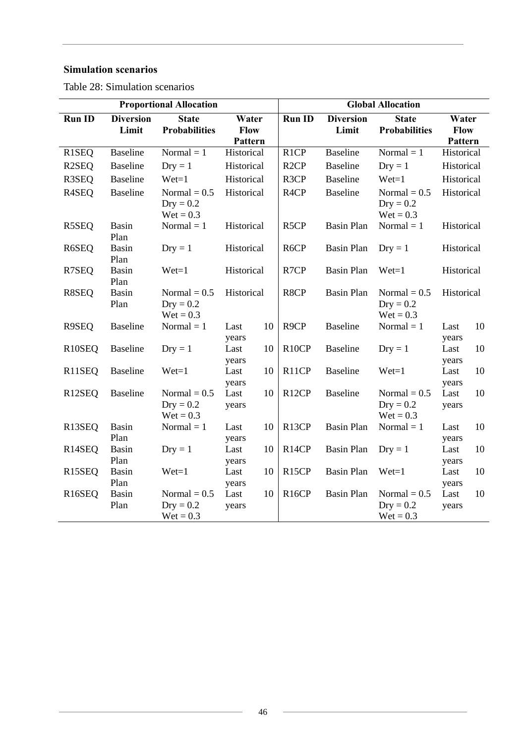# **Simulation scenarios**

<span id="page-51-0"></span>Table 28: Simulation scenarios

| <b>Proportional Allocation</b> |                           |                                              |                                 | <b>Global Allocation</b> |                    |                           |                                              |                                 |    |
|--------------------------------|---------------------------|----------------------------------------------|---------------------------------|--------------------------|--------------------|---------------------------|----------------------------------------------|---------------------------------|----|
| <b>Run ID</b>                  | <b>Diversion</b><br>Limit | <b>State</b><br><b>Probabilities</b>         | Water<br><b>Flow</b><br>Pattern |                          | <b>Run ID</b>      | <b>Diversion</b><br>Limit | <b>State</b><br><b>Probabilities</b>         | Water<br><b>Flow</b><br>Pattern |    |
| R1SEQ                          | <b>Baseline</b>           | Normal $= 1$                                 | Historical                      |                          | R <sub>1</sub> CP  | <b>Baseline</b>           | Normal $= 1$                                 | Historical                      |    |
| R <sub>2</sub> SEQ             | <b>Baseline</b>           | $Dry = 1$                                    | Historical                      |                          | R <sub>2</sub> CP  | <b>Baseline</b>           | $Dry = 1$                                    | Historical                      |    |
| R3SEQ                          | <b>Baseline</b>           | $Wet=1$                                      | Historical                      |                          | R3CP               | <b>Baseline</b>           | $Wet=1$                                      | Historical                      |    |
| R <sub>4</sub> SEQ             | <b>Baseline</b>           | Normal $= 0.5$<br>$Dry = 0.2$<br>$Wet = 0.3$ | Historical                      |                          | R <sub>4</sub> CP  | <b>Baseline</b>           | Normal $= 0.5$<br>$Dry = 0.2$<br>$Wet = 0.3$ | Historical                      |    |
| R5SEQ                          | Basin<br>Plan             | Normal $= 1$                                 | Historical                      |                          | R <sub>5</sub> CP  | <b>Basin Plan</b>         | Normal $= 1$                                 | Historical                      |    |
| R6SEQ                          | <b>Basin</b><br>Plan      | $Dry = 1$                                    | Historical                      |                          | R6CP               | <b>Basin Plan</b>         | $Dry = 1$                                    | Historical                      |    |
| R7SEQ                          | Basin<br>Plan             | $Wet=1$                                      | Historical                      |                          | R7CP               | <b>Basin Plan</b>         | $Wet=1$                                      | Historical                      |    |
| R8SEQ                          | <b>Basin</b><br>Plan      | Normal = $0.5$<br>$Dry = 0.2$<br>$Wet = 0.3$ | Historical                      |                          | R8CP               | <b>Basin Plan</b>         | Normal = $0.5$<br>$Dry = 0.2$<br>$Wet = 0.3$ | Historical                      |    |
| R9SEQ                          | <b>Baseline</b>           | Normal $= 1$                                 | Last<br>years                   | 10                       | R <sub>9</sub> CP  | <b>Baseline</b>           | Normal $= 1$                                 | Last<br>years                   | 10 |
| R <sub>10</sub> SEQ            | <b>Baseline</b>           | $Dry = 1$                                    | Last<br>years                   | 10                       | R <sub>10</sub> CP | <b>Baseline</b>           | $Dry = 1$                                    | Last<br>years                   | 10 |
| R11SEQ                         | <b>Baseline</b>           | $Wet=1$                                      | Last<br>years                   | 10                       | R11CP              | <b>Baseline</b>           | $Wet=1$                                      | Last<br>years                   | 10 |
| R12SEQ                         | <b>Baseline</b>           | Normal $= 0.5$<br>$Dry = 0.2$<br>$Wet = 0.3$ | Last<br>years                   | 10                       | R <sub>12</sub> CP | <b>Baseline</b>           | Normal $= 0.5$<br>$Dry = 0.2$<br>$Wet = 0.3$ | Last<br>years                   | 10 |
| R <sub>13</sub> SEQ            | <b>Basin</b><br>Plan      | $Normal = 1$                                 | Last<br>years                   | 10                       | R <sub>13</sub> CP | <b>Basin Plan</b>         | Normal $= 1$                                 | Last<br>years                   | 10 |
| R <sub>14</sub> SEQ            | Basin<br>Plan             | $Dry = 1$                                    | Last<br>years                   | 10                       | R <sub>14</sub> CP | <b>Basin Plan</b>         | $Dry = 1$                                    | Last<br>years                   | 10 |
| R <sub>15</sub> SEQ            | <b>Basin</b><br>Plan      | $Wet=1$                                      | Last<br>years                   | 10                       | R <sub>15</sub> CP | <b>Basin Plan</b>         | $Wet=1$                                      | Last<br>years                   | 10 |
| R16SEQ                         | <b>Basin</b><br>Plan      | Normal $= 0.5$<br>$Dry = 0.2$<br>$Wet = 0.3$ | Last<br>years                   | 10                       | R <sub>16</sub> CP | <b>Basin Plan</b>         | Normal $= 0.5$<br>$Dry = 0.2$<br>$Wet = 0.3$ | Last<br>years                   | 10 |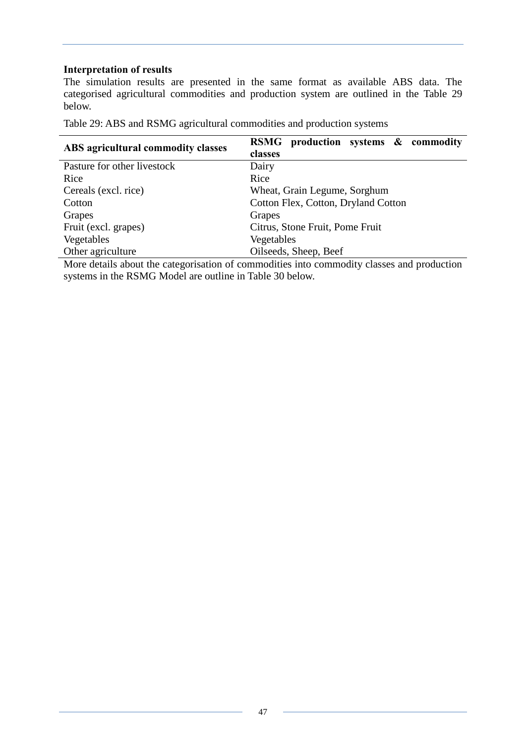#### **Interpretation of results**

The simulation results are presented in the same format as available ABS data. The categorised agricultural commodities and production system are outlined in the Table 29 below.

<span id="page-52-0"></span>Table 29: ABS and RSMG agricultural commodities and production systems

| ABS agricultural commodity classes | RSMG production systems & commodity |  |  |  |  |  |
|------------------------------------|-------------------------------------|--|--|--|--|--|
|                                    | classes                             |  |  |  |  |  |
| Pasture for other livestock        | Dairy                               |  |  |  |  |  |
| Rice                               | Rice                                |  |  |  |  |  |
| Cereals (excl. rice)               | Wheat, Grain Legume, Sorghum        |  |  |  |  |  |
| Cotton                             | Cotton Flex, Cotton, Dryland Cotton |  |  |  |  |  |
| Grapes                             | Grapes                              |  |  |  |  |  |
| Fruit (excl. grapes)               | Citrus, Stone Fruit, Pome Fruit     |  |  |  |  |  |
| Vegetables                         | Vegetables                          |  |  |  |  |  |
| Other agriculture                  | Oilseeds, Sheep, Beef               |  |  |  |  |  |

More details about the categorisation of commodities into commodity classes and production systems in the RSMG Model are outline in Table 30 below.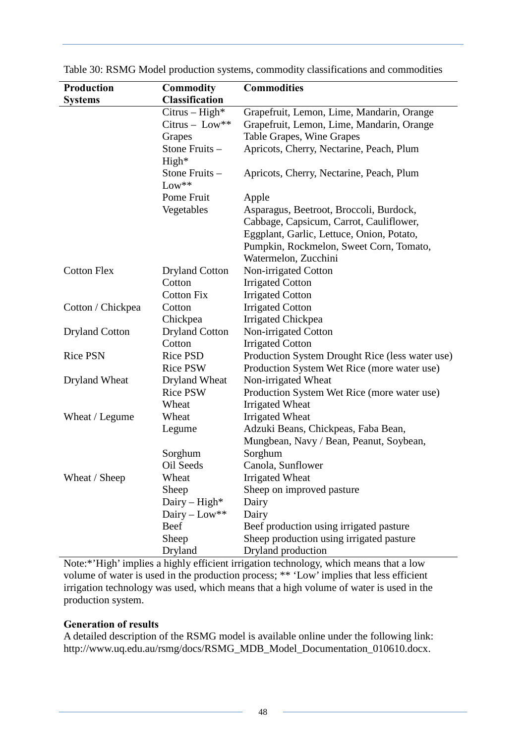| <b>Production</b>     | <b>Commodity</b>      | <b>Commodities</b>                              |
|-----------------------|-----------------------|-------------------------------------------------|
| <b>Systems</b>        | <b>Classification</b> |                                                 |
|                       | $Citrus-High*$        | Grapefruit, Lemon, Lime, Mandarin, Orange       |
|                       | $Citrus - Low**$      | Grapefruit, Lemon, Lime, Mandarin, Orange       |
|                       | Grapes                | Table Grapes, Wine Grapes                       |
|                       | Stone Fruits-         | Apricots, Cherry, Nectarine, Peach, Plum        |
|                       | High*                 |                                                 |
|                       | Stone Fruits -        | Apricots, Cherry, Nectarine, Peach, Plum        |
|                       | $Low***$              |                                                 |
|                       | Pome Fruit            | Apple                                           |
|                       | Vegetables            | Asparagus, Beetroot, Broccoli, Burdock,         |
|                       |                       | Cabbage, Capsicum, Carrot, Cauliflower,         |
|                       |                       | Eggplant, Garlic, Lettuce, Onion, Potato,       |
|                       |                       | Pumpkin, Rockmelon, Sweet Corn, Tomato,         |
|                       |                       | Watermelon, Zucchini                            |
| <b>Cotton Flex</b>    | <b>Dryland Cotton</b> | Non-irrigated Cotton                            |
|                       | Cotton                | <b>Irrigated Cotton</b>                         |
|                       | <b>Cotton Fix</b>     | <b>Irrigated Cotton</b>                         |
| Cotton / Chickpea     | Cotton                | <b>Irrigated Cotton</b>                         |
|                       | Chickpea              | <b>Irrigated Chickpea</b>                       |
| <b>Dryland Cotton</b> | <b>Dryland Cotton</b> | Non-irrigated Cotton                            |
|                       | Cotton                | <b>Irrigated Cotton</b>                         |
| <b>Rice PSN</b>       | <b>Rice PSD</b>       | Production System Drought Rice (less water use) |
|                       | <b>Rice PSW</b>       | Production System Wet Rice (more water use)     |
| Dryland Wheat         | Dryland Wheat         | Non-irrigated Wheat                             |
|                       | <b>Rice PSW</b>       | Production System Wet Rice (more water use)     |
|                       | Wheat                 | Irrigated Wheat                                 |
| Wheat / Legume        | Wheat                 | Irrigated Wheat                                 |
|                       | Legume                | Adzuki Beans, Chickpeas, Faba Bean,             |
|                       |                       | Mungbean, Navy / Bean, Peanut, Soybean,         |
|                       | Sorghum               | Sorghum                                         |
|                       | Oil Seeds             | Canola, Sunflower                               |
| Wheat / Sheep         | Wheat                 | <b>Irrigated Wheat</b>                          |
|                       | Sheep                 | Sheep on improved pasture                       |
|                       | Dairy $-$ High*       | Dairy                                           |
|                       | Dairy – $Low**$       | Dairy                                           |
|                       | Beef                  | Beef production using irrigated pasture         |
|                       | Sheep                 | Sheep production using irrigated pasture        |
|                       | Dryland               | Dryland production                              |

<span id="page-53-0"></span>Table 30: RSMG Model production systems, commodity classifications and commodities

Note:\*'High' implies a highly efficient irrigation technology, which means that a low volume of water is used in the production process; \*\* 'Low' implies that less efficient irrigation technology was used, which means that a high volume of water is used in the production system.

#### **Generation of results**

A detailed description of the RSMG model is available online under the following link: [http://www.uq.edu.au/rsmg/docs/RSMG\\_MDB\\_Model\\_Documentation\\_010610.docx.](http://www.uq.edu.au/rsmg/docs/RSMG_MDB_Model_Documentation_010610.docx)